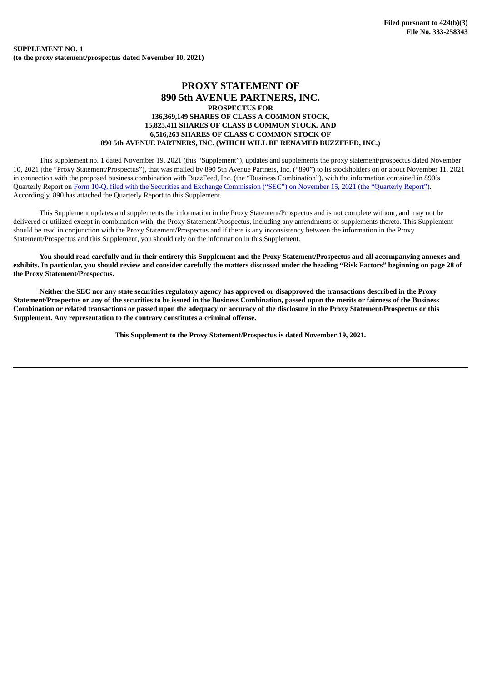# **PROXY STATEMENT OF 890 5th AVENUE PARTNERS, INC. PROSPECTUS FOR 136,369,149 SHARES OF CLASS A COMMON STOCK, 15,825,411 SHARES OF CLASS B COMMON STOCK, AND 6,516,263 SHARES OF CLASS C COMMON STOCK OF 890 5th AVENUE PARTNERS, INC. (WHICH WILL BE RENAMED BUZZFEED, INC.)**

This supplement no. 1 dated November 19, 2021 (this "Supplement"), updates and supplements the proxy statement/prospectus dated November 10, 2021 (the "Proxy Statement/Prospectus"), that was mailed by 890 5th Avenue Partners, Inc. ("890") to its stockholders on or about November 11, 2021 in connection with the proposed business combination with BuzzFeed, Inc. (the "Business Combination"), with the information contained in 890's Quarterly Report on Form 10-Q, filed with the Securities and Exchange [Commission](https://www.sec.gov/Archives/edgar/data/1828972/000141057821000303/enfa-20210930x10q.htm) ("SEC") on November 15, 2021 (the "Quarterly Report"). Accordingly, 890 has attached the Quarterly Report to this Supplement.

This Supplement updates and supplements the information in the Proxy Statement/Prospectus and is not complete without, and may not be delivered or utilized except in combination with, the Proxy Statement/Prospectus, including any amendments or supplements thereto. This Supplement should be read in conjunction with the Proxy Statement/Prospectus and if there is any inconsistency between the information in the Proxy Statement/Prospectus and this Supplement, you should rely on the information in this Supplement.

You should read carefully and in their entirety this Supplement and the Proxy Statement/Prospectus and all accompanying annexes and exhibits. In particular, you should review and consider carefully the matters discussed under the heading "Risk Factors" beginning on page 28 of **the Proxy Statement/Prospectus.**

Neither the SEC nor any state securities regulatory agency has approved or disapproved the transactions described in the Proxy Statement/Prospectus or any of the securities to be issued in the Business Combination, passed upon the merits or fairness of the Business Combination or related transactions or passed upon the adequacy or accuracy of the disclosure in the Proxy Statement/Prospectus or this **Supplement. Any representation to the contrary constitutes a criminal offense.**

**This Supplement to the Proxy Statement/Prospectus is dated November 19, 2021.**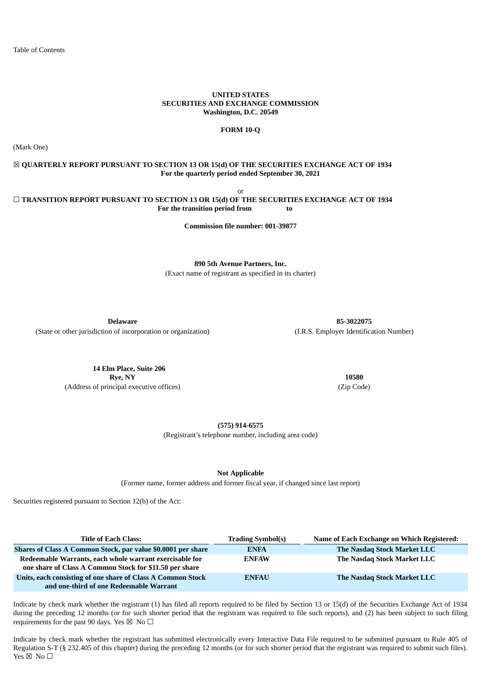## **UNITED STATES SECURITIES AND EXCHANGE COMMISSION Washington, D.C. 20549**

# **FORM 10-Q**

(Mark One)

# ☒ **QUARTERLY REPORT PURSUANT TO SECTION 13 OR 15(d) OF THE SECURITIES EXCHANGE ACT OF 1934 For the quarterly period ended September 30, 2021**

or

☐ **TRANSITION REPORT PURSUANT TO SECTION 13 OR 15(d) OF THE SECURITIES EXCHANGE ACT OF 1934 For the transition period from to**

**Commission file number: 001-39877**

**890 5th Avenue Partners, Inc.** (Exact name of registrant as specified in its charter)

**Delaware 85-3022075** (State or other jurisdiction of incorporation or organization) (I.R.S. Employer Identification Number)

**14 Elm Place, Suite 206 Rye, NY 10580** (Address of principal executive offices) (Zip Code)

**(575) 914-6575**

(Registrant's telephone number, including area code)

**Not Applicable**

(Former name, former address and former fiscal year, if changed since last report)

Securities registered pursuant to Section 12(b) of the Act:

| Title of Each Class:                                                                                               | <b>Trading Symbol(s)</b> | Name of Each Exchange on Which Registered: |
|--------------------------------------------------------------------------------------------------------------------|--------------------------|--------------------------------------------|
| Shares of Class A Common Stock, par value \$0.0001 per share                                                       | <b>ENFA</b>              | The Nasdag Stock Market LLC                |
| Redeemable Warrants, each whole warrant exercisable for<br>one share of Class A Common Stock for \$11.50 per share | <b>ENFAW</b>             | The Nasdag Stock Market LLC                |
| Units, each consisting of one share of Class A Common Stock<br>and one-third of one Redeemable Warrant             | <b>ENFAU</b>             | The Nasdag Stock Market LLC                |

Indicate by check mark whether the registrant (1) has filed all reports required to be filed by Section 13 or 15(d) of the Securities Exchange Act of 1934 during the preceding 12 months (or for such shorter period that the registrant was required to file such reports), and (2) has been subject to such filing requirements for the past 90 days. Yes  $\boxtimes$  No  $\Box$ 

Indicate by check mark whether the registrant has submitted electronically every Interactive Data File required to be submitted pursuant to Rule 405 of Regulation S-T (§ 232.405 of this chapter) during the preceding 12 months (or for such shorter period that the registrant was required to submit such files).  $Yes \boxtimes No \square$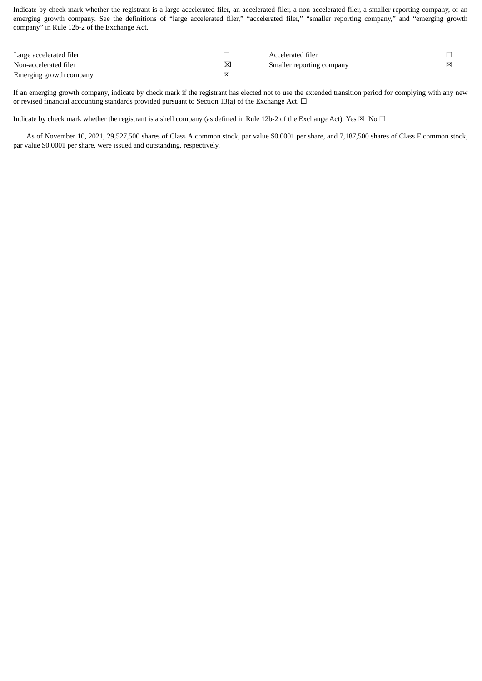Indicate by check mark whether the registrant is a large accelerated filer, an accelerated filer, a non-accelerated filer, a smaller reporting company, or an emerging growth company. See the definitions of "large accelerated filer," "accelerated filer," "smaller reporting company," and "emerging growth company" in Rule 12b-2 of the Exchange Act.

| Large accelerated filer |     | Accelerated filer         |   |
|-------------------------|-----|---------------------------|---|
| Non-accelerated filer   | ⊠   | Smaller reporting company | 冈 |
| Emerging growth company | ΙxΙ |                           |   |

If an emerging growth company, indicate by check mark if the registrant has elected not to use the extended transition period for complying with any new or revised financial accounting standards provided pursuant to Section 13(a) of the Exchange Act. □

Indicate by check mark whether the registrant is a shell company (as defined in Rule 12b-2 of the Exchange Act). Yes  $\boxtimes$  No  $\Box$ 

As of November 10, 2021, 29,527,500 shares of Class A common stock, par value \$0.0001 per share, and 7,187,500 shares of Class F common stock, par value \$0.0001 per share, were issued and outstanding, respectively.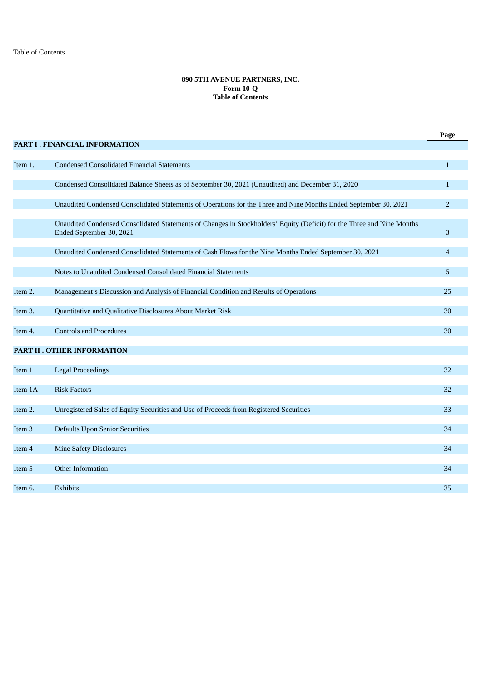# **890 5TH AVENUE PARTNERS, INC. Form 10-Q Table of Contents**

|         |                                                                                                                                                    | Page           |
|---------|----------------------------------------------------------------------------------------------------------------------------------------------------|----------------|
|         | PART I . FINANCIAL INFORMATION                                                                                                                     |                |
| Item 1. | <b>Condensed Consolidated Financial Statements</b>                                                                                                 | $\mathbf{1}$   |
|         |                                                                                                                                                    |                |
|         | Condensed Consolidated Balance Sheets as of September 30, 2021 (Unaudited) and December 31, 2020                                                   | $\mathbf{1}$   |
|         | Unaudited Condensed Consolidated Statements of Operations for the Three and Nine Months Ended September 30, 2021                                   | 2              |
|         |                                                                                                                                                    |                |
|         | Unaudited Condensed Consolidated Statements of Changes in Stockholders' Equity (Deficit) for the Three and Nine Months<br>Ended September 30, 2021 | 3              |
|         |                                                                                                                                                    |                |
|         | Unaudited Condensed Consolidated Statements of Cash Flows for the Nine Months Ended September 30, 2021                                             | $\overline{4}$ |
|         | Notes to Unaudited Condensed Consolidated Financial Statements                                                                                     | 5              |
|         |                                                                                                                                                    |                |
| Item 2. | Management's Discussion and Analysis of Financial Condition and Results of Operations                                                              | 25             |
|         |                                                                                                                                                    |                |
| Item 3. | Quantitative and Qualitative Disclosures About Market Risk                                                                                         | 30             |
| Item 4. | <b>Controls and Procedures</b>                                                                                                                     | 30             |
|         |                                                                                                                                                    |                |
|         | PART II . OTHER INFORMATION                                                                                                                        |                |
| Item 1  | <b>Legal Proceedings</b>                                                                                                                           | 32             |
|         |                                                                                                                                                    |                |
| Item 1A | <b>Risk Factors</b>                                                                                                                                | 32             |
|         |                                                                                                                                                    |                |
| Item 2. | Unregistered Sales of Equity Securities and Use of Proceeds from Registered Securities                                                             | 33             |
| Item 3  | <b>Defaults Upon Senior Securities</b>                                                                                                             | 34             |
|         |                                                                                                                                                    |                |
| Item 4  | <b>Mine Safety Disclosures</b>                                                                                                                     | 34             |
| Item 5  | Other Information                                                                                                                                  | 34             |
|         |                                                                                                                                                    |                |
| Item 6. | <b>Exhibits</b>                                                                                                                                    | 35             |
|         |                                                                                                                                                    |                |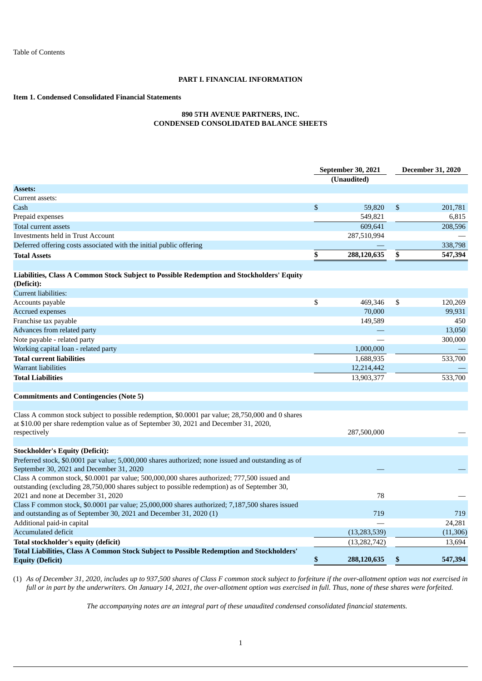## **PART I. FINANCIAL INFORMATION**

# **Item 1. Condensed Consolidated Financial Statements**

# **890 5TH AVENUE PARTNERS, INC. CONDENSED CONSOLIDATED BALANCE SHEETS**

|                                                                                                                                                                                           |                | September 30, 2021 | <b>December 31, 2020</b> |           |  |
|-------------------------------------------------------------------------------------------------------------------------------------------------------------------------------------------|----------------|--------------------|--------------------------|-----------|--|
|                                                                                                                                                                                           |                | (Unaudited)        |                          |           |  |
| <b>Assets:</b>                                                                                                                                                                            |                |                    |                          |           |  |
| Current assets:                                                                                                                                                                           |                |                    |                          |           |  |
| Cash                                                                                                                                                                                      | $\mathfrak{S}$ | 59,820             | \$                       | 201,781   |  |
| Prepaid expenses                                                                                                                                                                          |                | 549,821            |                          | 6,815     |  |
| Total current assets                                                                                                                                                                      |                | 609,641            |                          | 208,596   |  |
| Investments held in Trust Account                                                                                                                                                         |                | 287,510,994        |                          |           |  |
| Deferred offering costs associated with the initial public offering                                                                                                                       |                |                    |                          | 338,798   |  |
| <b>Total Assets</b>                                                                                                                                                                       | \$             | 288,120,635        | \$                       | 547,394   |  |
|                                                                                                                                                                                           |                |                    |                          |           |  |
| Liabilities, Class A Common Stock Subject to Possible Redemption and Stockholders' Equity<br>(Deficit):                                                                                   |                |                    |                          |           |  |
| <b>Current liabilities:</b>                                                                                                                                                               |                |                    |                          |           |  |
| Accounts payable                                                                                                                                                                          | \$             | 469,346            | \$                       | 120,269   |  |
| <b>Accrued expenses</b>                                                                                                                                                                   |                | 70,000             |                          | 99,931    |  |
| Franchise tax payable                                                                                                                                                                     |                | 149,589            |                          | 450       |  |
| Advances from related party                                                                                                                                                               |                |                    |                          | 13,050    |  |
| Note payable - related party                                                                                                                                                              |                |                    |                          | 300,000   |  |
| Working capital loan - related party                                                                                                                                                      |                | 1,000,000          |                          |           |  |
| <b>Total current liabilities</b>                                                                                                                                                          |                | 1,688,935          |                          | 533,700   |  |
| <b>Warrant liabilities</b>                                                                                                                                                                |                | 12,214,442         |                          |           |  |
| <b>Total Liabilities</b>                                                                                                                                                                  |                | 13,903,377         |                          | 533,700   |  |
|                                                                                                                                                                                           |                |                    |                          |           |  |
| <b>Commitments and Contingencies (Note 5)</b>                                                                                                                                             |                |                    |                          |           |  |
|                                                                                                                                                                                           |                |                    |                          |           |  |
| Class A common stock subject to possible redemption, \$0.0001 par value; 28,750,000 and 0 shares<br>at \$10.00 per share redemption value as of September 30, 2021 and December 31, 2020, |                |                    |                          |           |  |
| respectively                                                                                                                                                                              |                | 287,500,000        |                          |           |  |
|                                                                                                                                                                                           |                |                    |                          |           |  |
| <b>Stockholder's Equity (Deficit):</b><br>Preferred stock, \$0.0001 par value; 5,000,000 shares authorized; none issued and outstanding as of                                             |                |                    |                          |           |  |
| September 30, 2021 and December 31, 2020                                                                                                                                                  |                |                    |                          |           |  |
| Class A common stock, \$0.0001 par value; 500,000,000 shares authorized; 777,500 issued and                                                                                               |                |                    |                          |           |  |
| outstanding (excluding 28,750,000 shares subject to possible redemption) as of September 30,                                                                                              |                |                    |                          |           |  |
| 2021 and none at December 31, 2020                                                                                                                                                        |                | 78                 |                          |           |  |
| Class F common stock, \$0.0001 par value; 25,000,000 shares authorized; 7,187,500 shares issued                                                                                           |                |                    |                          |           |  |
| and outstanding as of September 30, 2021 and December 31, 2020 (1)                                                                                                                        |                | 719                |                          | 719       |  |
| Additional paid-in capital                                                                                                                                                                |                |                    |                          | 24,281    |  |
| <b>Accumulated deficit</b>                                                                                                                                                                |                | (13, 283, 539)     |                          | (11, 306) |  |
| Total stockholder's equity (deficit)                                                                                                                                                      |                | (13, 282, 742)     |                          | 13,694    |  |
| <b>Total Liabilities, Class A Common Stock Subject to Possible Redemption and Stockholders'</b>                                                                                           |                |                    |                          |           |  |

(1) As of December 31, 2020, includes up to 937,500 shares of Class F common stock subject to forfeiture if the over-allotment option was not exercised in full or in part by the underwriters. On January 14, 2021, the over-allotment option was exercised in full. Thus, none of these shares were forfeited.

**Equity (Deficit) \$ 288,120,635 \$ 547,394**

*The accompanying notes are an integral part of these unaudited condensed consolidated financial statements.*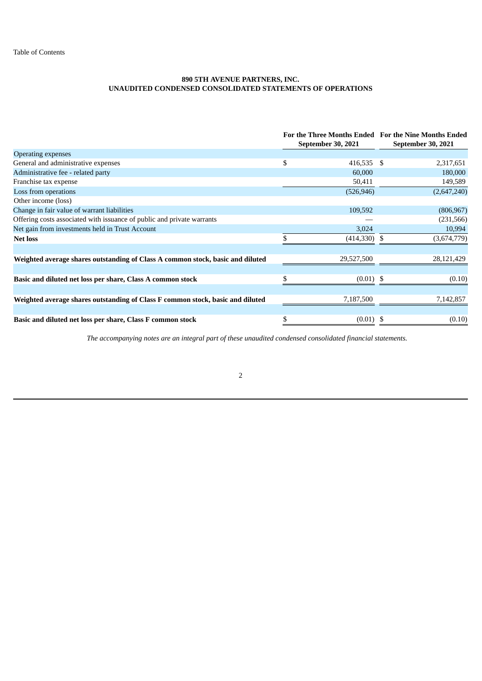# **890 5TH AVENUE PARTNERS, INC. UNAUDITED CONDENSED CONSOLIDATED STATEMENTS OF OPERATIONS**

|                                                                                | For the Three Months Ended For the Nine Months Ended<br><b>September 30, 2021</b> | September 30, 2021 |
|--------------------------------------------------------------------------------|-----------------------------------------------------------------------------------|--------------------|
| <b>Operating expenses</b>                                                      |                                                                                   |                    |
| General and administrative expenses                                            | 416,535 \$<br>\$                                                                  | 2,317,651          |
| Administrative fee - related party                                             | 60,000                                                                            | 180,000            |
| Franchise tax expense                                                          | 50,411                                                                            | 149,589            |
| Loss from operations                                                           | (526, 946)                                                                        | (2,647,240)        |
| Other income (loss)                                                            |                                                                                   |                    |
| Change in fair value of warrant liabilities                                    | 109,592                                                                           | (806, 967)         |
| Offering costs associated with issuance of public and private warrants         |                                                                                   | (231, 566)         |
| Net gain from investments held in Trust Account                                | 3,024                                                                             | 10,994             |
| <b>Net loss</b>                                                                | $(414,330)$ \$                                                                    | (3,674,779)        |
|                                                                                |                                                                                   |                    |
| Weighted average shares outstanding of Class A common stock, basic and diluted | 29,527,500                                                                        | 28,121,429         |
| Basic and diluted net loss per share, Class A common stock                     | $(0.01)$ \$                                                                       | (0.10)             |
|                                                                                |                                                                                   |                    |
| Weighted average shares outstanding of Class F common stock, basic and diluted | 7,187,500                                                                         | 7,142,857          |
| Basic and diluted net loss per share, Class F common stock                     | (0.01)                                                                            | (0.10)             |

*The accompanying notes are an integral part of these unaudited condensed consolidated financial statements.*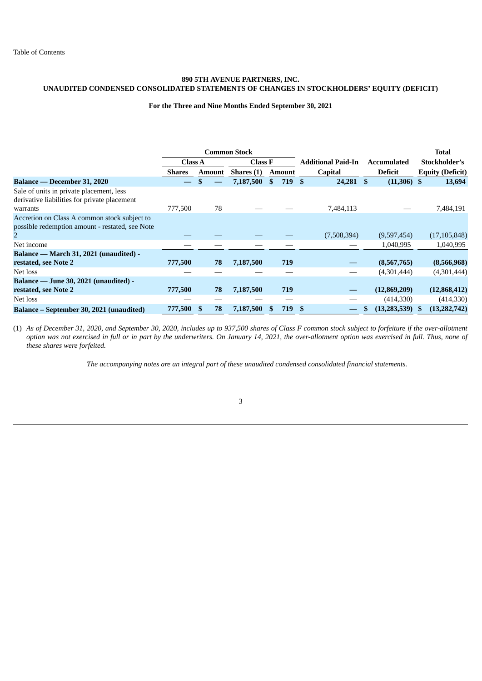# **890 5TH AVENUE PARTNERS, INC. UNAUDITED CONDENSED CONSOLIDATED STATEMENTS OF CHANGES IN STOCKHOLDERS' EQUITY (DEFICIT)**

# **For the Three and Nine Months Ended September 30, 2021**

|                                                                                                 |                |               | <b>Common Stock</b> |               |                           |                      | Total                   |
|-------------------------------------------------------------------------------------------------|----------------|---------------|---------------------|---------------|---------------------------|----------------------|-------------------------|
|                                                                                                 | <b>Class A</b> |               | <b>Class F</b>      |               | <b>Additional Paid-In</b> | Accumulated          | Stockholder's           |
|                                                                                                 | <b>Shares</b>  | <b>Amount</b> | Shares (1)          | <b>Amount</b> | <b>Capital</b>            | <b>Deficit</b>       | <b>Equity (Deficit)</b> |
| Balance — December 31, 2020                                                                     |                |               | 7,187,500           | 719<br>\$.    | 24,281<br>-\$             | $(11,306)$ \$<br>-SS | 13,694                  |
| Sale of units in private placement, less<br>derivative liabilities for private placement        |                |               |                     |               |                           |                      |                         |
| warrants                                                                                        | 777,500        | 78            |                     |               | 7,484,113                 |                      | 7,484,191               |
| Accretion on Class A common stock subject to<br>possible redemption amount - restated, see Note |                |               |                     |               |                           |                      |                         |
|                                                                                                 |                |               |                     |               | (7,508,394)               | (9,597,454)          | (17, 105, 848)          |
| Net income                                                                                      |                |               |                     |               |                           | 1,040,995            | 1,040,995               |
| Balance — March 31, 2021 (unaudited) -                                                          |                |               |                     |               |                           |                      |                         |
| restated, see Note 2                                                                            | 777,500        | 78            | 7,187,500           | 719           |                           | (8,567,765)          | (8,566,968)             |
| Net loss                                                                                        |                |               |                     |               |                           | (4,301,444)          | (4,301,444)             |
| Balance — June 30, 2021 (unaudited) -                                                           |                |               |                     |               |                           |                      |                         |
| restated, see Note 2                                                                            | 777,500        | 78            | 7,187,500           | 719           |                           | (12,869,209)         | (12,868,412)            |
| Net loss                                                                                        |                |               |                     |               |                           | (414,330)            | (414,330)               |
| Balance – September 30, 2021 (unaudited)                                                        | 777,500        | 78            | 7,187,500           | 719           | \$                        | $(13, 283, 539)$ \$  | (13, 282, 742)          |

(1) As of December 31, 2020, and September 30, 2020, includes up to 937,500 shares of Class F common stock subject to forfeiture if the over-allotment option was not exercised in full or in part by the underwriters. On January 14, 2021, the over-allotment option was exercised in full. Thus, none of *these shares were forfeited.*

*The accompanying notes are an integral part of these unaudited condensed consolidated financial statements.*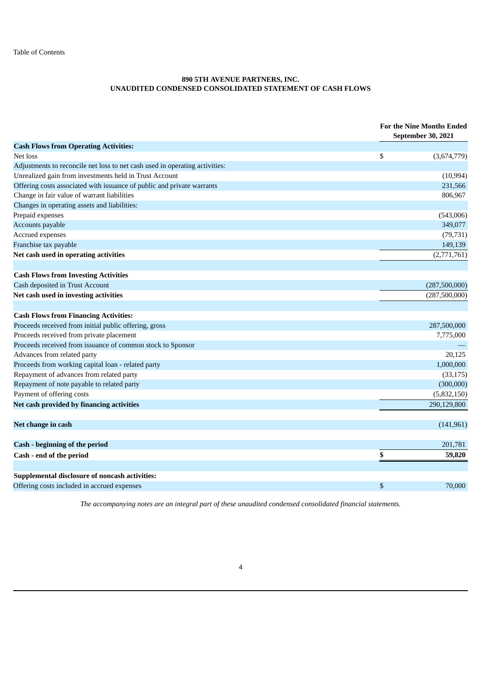# **890 5TH AVENUE PARTNERS, INC. UNAUDITED CONDENSED CONSOLIDATED STATEMENT OF CASH FLOWS**

|                                                                             |              | For the Nine Months Ended<br><b>September 30, 2021</b> |
|-----------------------------------------------------------------------------|--------------|--------------------------------------------------------|
| <b>Cash Flows from Operating Activities:</b>                                |              |                                                        |
| Net loss                                                                    | \$           | (3,674,779)                                            |
| Adjustments to reconcile net loss to net cash used in operating activities: |              |                                                        |
| Unrealized gain from investments held in Trust Account                      |              | (10, 994)                                              |
| Offering costs associated with issuance of public and private warrants      |              | 231,566                                                |
| Change in fair value of warrant liabilities                                 |              | 806,967                                                |
| Changes in operating assets and liabilities:                                |              |                                                        |
| Prepaid expenses                                                            |              | (543,006)                                              |
| Accounts payable                                                            |              | 349,077                                                |
| Accrued expenses                                                            |              | (79, 731)                                              |
| Franchise tax payable                                                       |              | 149,139                                                |
| Net cash used in operating activities                                       |              | (2,771,761)                                            |
| <b>Cash Flows from Investing Activities</b>                                 |              |                                                        |
| Cash deposited in Trust Account                                             |              | (287,500,000)                                          |
| Net cash used in investing activities                                       |              | (287,500,000)                                          |
| <b>Cash Flows from Financing Activities:</b>                                |              |                                                        |
| Proceeds received from initial public offering, gross                       |              | 287,500,000                                            |
| Proceeds received from private placement                                    |              | 7,775,000                                              |
| Proceeds received from issuance of common stock to Sponsor                  |              |                                                        |
| Advances from related party                                                 |              | 20,125                                                 |
| Proceeds from working capital loan - related party                          |              | 1,000,000                                              |
| Repayment of advances from related party                                    |              | (33, 175)                                              |
| Repayment of note payable to related party                                  |              | (300,000)                                              |
| Payment of offering costs                                                   |              | (5,832,150)                                            |
| Net cash provided by financing activities                                   |              | 290,129,800                                            |
| Net change in cash                                                          |              | (141, 961)                                             |
| Cash - beginning of the period                                              |              | 201,781                                                |
| Cash - end of the period                                                    | \$           | 59,820                                                 |
| Supplemental disclosure of noncash activities:                              |              |                                                        |
| Offering costs included in accrued expenses                                 | $\mathbb{S}$ | 70,000                                                 |

*The accompanying notes are an integral part of these unaudited condensed consolidated financial statements.*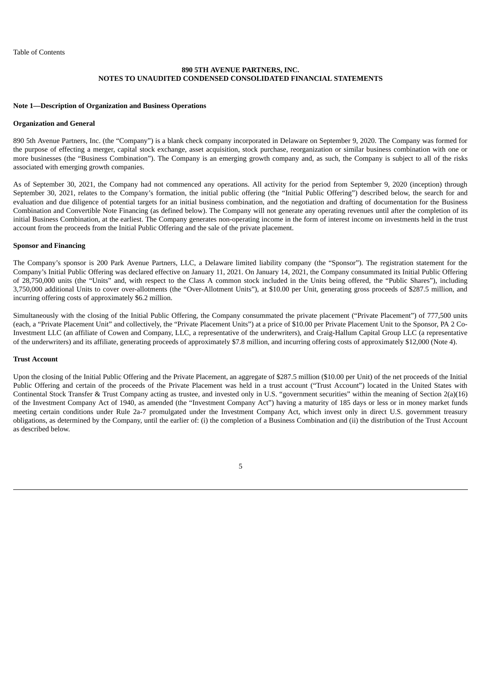#### **Note 1—Description of Organization and Business Operations**

#### **Organization and General**

890 5th Avenue Partners, Inc. (the "Company") is a blank check company incorporated in Delaware on September 9, 2020. The Company was formed for the purpose of effecting a merger, capital stock exchange, asset acquisition, stock purchase, reorganization or similar business combination with one or more businesses (the "Business Combination"). The Company is an emerging growth company and, as such, the Company is subject to all of the risks associated with emerging growth companies.

As of September 30, 2021, the Company had not commenced any operations. All activity for the period from September 9, 2020 (inception) through September 30, 2021, relates to the Company's formation, the initial public offering (the "Initial Public Offering") described below, the search for and evaluation and due diligence of potential targets for an initial business combination, and the negotiation and drafting of documentation for the Business Combination and Convertible Note Financing (as defined below). The Company will not generate any operating revenues until after the completion of its initial Business Combination, at the earliest. The Company generates non-operating income in the form of interest income on investments held in the trust account from the proceeds from the Initial Public Offering and the sale of the private placement.

## **Sponsor and Financing**

The Company's sponsor is 200 Park Avenue Partners, LLC, a Delaware limited liability company (the "Sponsor"). The registration statement for the Company's Initial Public Offering was declared effective on January 11, 2021. On January 14, 2021, the Company consummated its Initial Public Offering of 28,750,000 units (the "Units" and, with respect to the Class A common stock included in the Units being offered, the "Public Shares"), including 3,750,000 additional Units to cover over-allotments (the "Over-Allotment Units"), at \$10.00 per Unit, generating gross proceeds of \$287.5 million, and incurring offering costs of approximately \$6.2 million.

Simultaneously with the closing of the Initial Public Offering, the Company consummated the private placement ("Private Placement") of 777,500 units (each, a "Private Placement Unit" and collectively, the "Private Placement Units") at a price of \$10.00 per Private Placement Unit to the Sponsor, PA 2 Co-Investment LLC (an affiliate of Cowen and Company, LLC, a representative of the underwriters), and Craig-Hallum Capital Group LLC (a representative of the underwriters) and its affiliate, generating proceeds of approximately \$7.8 million, and incurring offering costs of approximately \$12,000 (Note 4).

## **Trust Account**

Upon the closing of the Initial Public Offering and the Private Placement, an aggregate of \$287.5 million (\$10.00 per Unit) of the net proceeds of the Initial Public Offering and certain of the proceeds of the Private Placement was held in a trust account ("Trust Account") located in the United States with Continental Stock Transfer & Trust Company acting as trustee, and invested only in U.S. "government securities" within the meaning of Section 2(a)(16) of the Investment Company Act of 1940, as amended (the "Investment Company Act") having a maturity of 185 days or less or in money market funds meeting certain conditions under Rule 2a-7 promulgated under the Investment Company Act, which invest only in direct U.S. government treasury obligations, as determined by the Company, until the earlier of: (i) the completion of a Business Combination and (ii) the distribution of the Trust Account as described below.

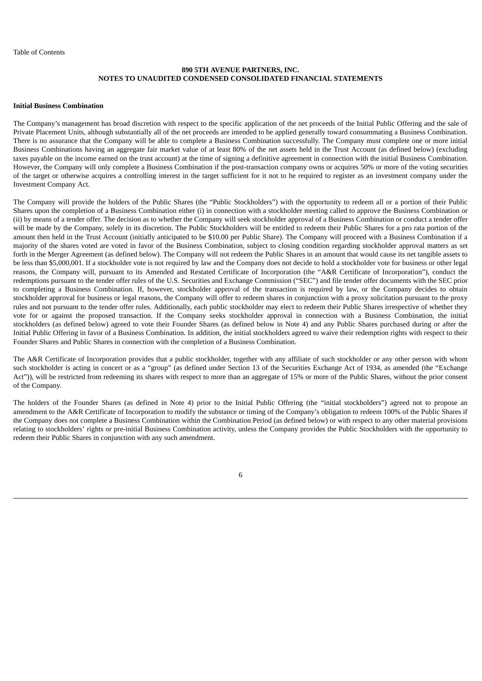#### **Initial Business Combination**

The Company's management has broad discretion with respect to the specific application of the net proceeds of the Initial Public Offering and the sale of Private Placement Units, although substantially all of the net proceeds are intended to be applied generally toward consummating a Business Combination. There is no assurance that the Company will be able to complete a Business Combination successfully. The Company must complete one or more initial Business Combinations having an aggregate fair market value of at least 80% of the net assets held in the Trust Account (as defined below) (excluding taxes payable on the income earned on the trust account) at the time of signing a definitive agreement in connection with the initial Business Combination. However, the Company will only complete a Business Combination if the post-transaction company owns or acquires 50% or more of the voting securities of the target or otherwise acquires a controlling interest in the target sufficient for it not to be required to register as an investment company under the Investment Company Act.

The Company will provide the holders of the Public Shares (the "Public Stockholders") with the opportunity to redeem all or a portion of their Public Shares upon the completion of a Business Combination either (i) in connection with a stockholder meeting called to approve the Business Combination or (ii) by means of a tender offer. The decision as to whether the Company will seek stockholder approval of a Business Combination or conduct a tender offer will be made by the Company, solely in its discretion. The Public Stockholders will be entitled to redeem their Public Shares for a pro rata portion of the amount then held in the Trust Account (initially anticipated to be \$10.00 per Public Share). The Company will proceed with a Business Combination if a majority of the shares voted are voted in favor of the Business Combination, subject to closing condition regarding stockholder approval matters as set forth in the Merger Agreement (as defined below). The Company will not redeem the Public Shares in an amount that would cause its net tangible assets to be less than \$5,000,001. If a stockholder vote is not required by law and the Company does not decide to hold a stockholder vote for business or other legal reasons, the Company will, pursuant to its Amended and Restated Certificate of Incorporation (the "A&R Certificate of Incorporation"), conduct the redemptions pursuant to the tender offer rules of the U.S. Securities and Exchange Commission ("SEC") and file tender offer documents with the SEC prior to completing a Business Combination. If, however, stockholder approval of the transaction is required by law, or the Company decides to obtain stockholder approval for business or legal reasons, the Company will offer to redeem shares in conjunction with a proxy solicitation pursuant to the proxy rules and not pursuant to the tender offer rules. Additionally, each public stockholder may elect to redeem their Public Shares irrespective of whether they vote for or against the proposed transaction. If the Company seeks stockholder approval in connection with a Business Combination, the initial stockholders (as defined below) agreed to vote their Founder Shares (as defined below in Note 4) and any Public Shares purchased during or after the Initial Public Offering in favor of a Business Combination. In addition, the initial stockholders agreed to waive their redemption rights with respect to their Founder Shares and Public Shares in connection with the completion of a Business Combination.

The A&R Certificate of Incorporation provides that a public stockholder, together with any affiliate of such stockholder or any other person with whom such stockholder is acting in concert or as a "group" (as defined under Section 13 of the Securities Exchange Act of 1934, as amended (the "Exchange Act")), will be restricted from redeeming its shares with respect to more than an aggregate of 15% or more of the Public Shares, without the prior consent of the Company.

The holders of the Founder Shares (as defined in Note 4) prior to the Initial Public Offering (the "initial stockholders") agreed not to propose an amendment to the A&R Certificate of Incorporation to modify the substance or timing of the Company's obligation to redeem 100% of the Public Shares if the Company does not complete a Business Combination within the Combination Period (as defined below) or with respect to any other material provisions relating to stockholders' rights or pre-initial Business Combination activity, unless the Company provides the Public Stockholders with the opportunity to redeem their Public Shares in conjunction with any such amendment.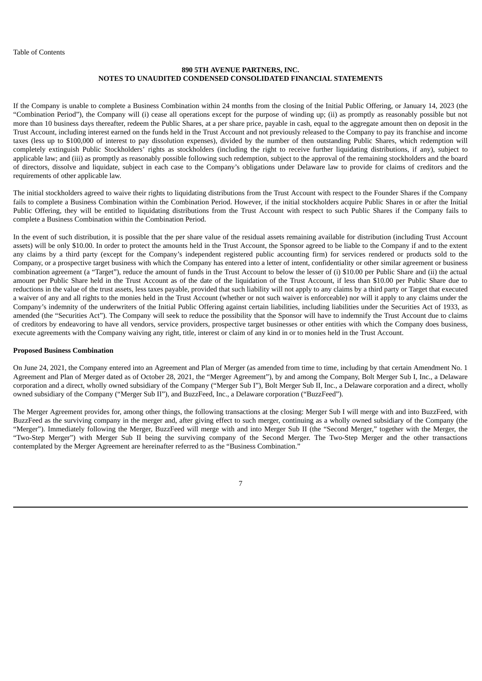If the Company is unable to complete a Business Combination within 24 months from the closing of the Initial Public Offering, or January 14, 2023 (the "Combination Period"), the Company will (i) cease all operations except for the purpose of winding up; (ii) as promptly as reasonably possible but not more than 10 business days thereafter, redeem the Public Shares, at a per share price, payable in cash, equal to the aggregate amount then on deposit in the Trust Account, including interest earned on the funds held in the Trust Account and not previously released to the Company to pay its franchise and income taxes (less up to \$100,000 of interest to pay dissolution expenses), divided by the number of then outstanding Public Shares, which redemption will completely extinguish Public Stockholders' rights as stockholders (including the right to receive further liquidating distributions, if any), subject to applicable law; and (iii) as promptly as reasonably possible following such redemption, subject to the approval of the remaining stockholders and the board of directors, dissolve and liquidate, subject in each case to the Company's obligations under Delaware law to provide for claims of creditors and the requirements of other applicable law.

The initial stockholders agreed to waive their rights to liquidating distributions from the Trust Account with respect to the Founder Shares if the Company fails to complete a Business Combination within the Combination Period. However, if the initial stockholders acquire Public Shares in or after the Initial Public Offering, they will be entitled to liquidating distributions from the Trust Account with respect to such Public Shares if the Company fails to complete a Business Combination within the Combination Period.

In the event of such distribution, it is possible that the per share value of the residual assets remaining available for distribution (including Trust Account assets) will be only \$10.00. In order to protect the amounts held in the Trust Account, the Sponsor agreed to be liable to the Company if and to the extent any claims by a third party (except for the Company's independent registered public accounting firm) for services rendered or products sold to the Company, or a prospective target business with which the Company has entered into a letter of intent, confidentiality or other similar agreement or business combination agreement (a "Target"), reduce the amount of funds in the Trust Account to below the lesser of (i) \$10.00 per Public Share and (ii) the actual amount per Public Share held in the Trust Account as of the date of the liquidation of the Trust Account, if less than \$10.00 per Public Share due to reductions in the value of the trust assets, less taxes payable, provided that such liability will not apply to any claims by a third party or Target that executed a waiver of any and all rights to the monies held in the Trust Account (whether or not such waiver is enforceable) nor will it apply to any claims under the Company's indemnity of the underwriters of the Initial Public Offering against certain liabilities, including liabilities under the Securities Act of 1933, as amended (the "Securities Act"). The Company will seek to reduce the possibility that the Sponsor will have to indemnify the Trust Account due to claims of creditors by endeavoring to have all vendors, service providers, prospective target businesses or other entities with which the Company does business, execute agreements with the Company waiving any right, title, interest or claim of any kind in or to monies held in the Trust Account.

## **Proposed Business Combination**

On June 24, 2021, the Company entered into an Agreement and Plan of Merger (as amended from time to time, including by that certain Amendment No. 1 Agreement and Plan of Merger dated as of October 28, 2021, the "Merger Agreement"), by and among the Company, Bolt Merger Sub I, Inc., a Delaware corporation and a direct, wholly owned subsidiary of the Company ("Merger Sub I"), Bolt Merger Sub II, Inc., a Delaware corporation and a direct, wholly owned subsidiary of the Company ("Merger Sub II"), and BuzzFeed, Inc., a Delaware corporation ("BuzzFeed").

The Merger Agreement provides for, among other things, the following transactions at the closing: Merger Sub I will merge with and into BuzzFeed, with BuzzFeed as the surviving company in the merger and, after giving effect to such merger, continuing as a wholly owned subsidiary of the Company (the "Merger"). Immediately following the Merger, BuzzFeed will merge with and into Merger Sub II (the "Second Merger," together with the Merger, the "Two-Step Merger") with Merger Sub II being the surviving company of the Second Merger. The Two-Step Merger and the other transactions contemplated by the Merger Agreement are hereinafter referred to as the "Business Combination."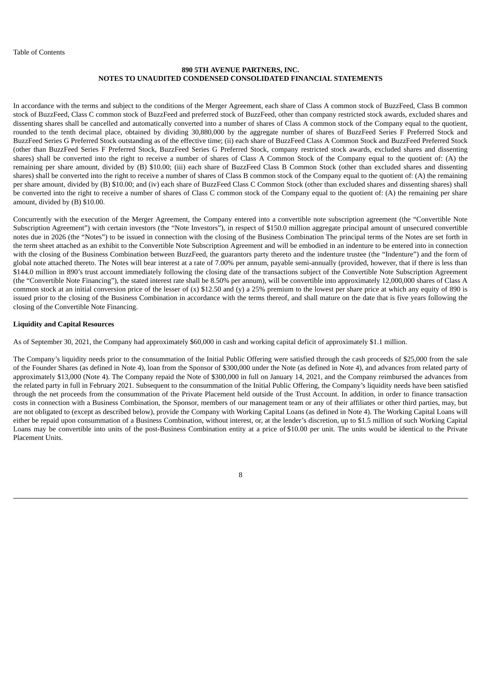In accordance with the terms and subject to the conditions of the Merger Agreement, each share of Class A common stock of BuzzFeed, Class B common stock of BuzzFeed, Class C common stock of BuzzFeed and preferred stock of BuzzFeed, other than company restricted stock awards, excluded shares and dissenting shares shall be cancelled and automatically converted into a number of shares of Class A common stock of the Company equal to the quotient, rounded to the tenth decimal place, obtained by dividing 30,880,000 by the aggregate number of shares of BuzzFeed Series F Preferred Stock and BuzzFeed Series G Preferred Stock outstanding as of the effective time; (ii) each share of BuzzFeed Class A Common Stock and BuzzFeed Preferred Stock (other than BuzzFeed Series F Preferred Stock, BuzzFeed Series G Preferred Stock, company restricted stock awards, excluded shares and dissenting shares) shall be converted into the right to receive a number of shares of Class A Common Stock of the Company equal to the quotient of: (A) the remaining per share amount, divided by (B) \$10.00; (iii) each share of BuzzFeed Class B Common Stock (other than excluded shares and dissenting shares) shall be converted into the right to receive a number of shares of Class B common stock of the Company equal to the quotient of: (A) the remaining per share amount, divided by (B) \$10.00; and (iv) each share of BuzzFeed Class C Common Stock (other than excluded shares and dissenting shares) shall be converted into the right to receive a number of shares of Class C common stock of the Company equal to the quotient of: (A) the remaining per share amount, divided by (B) \$10.00.

Concurrently with the execution of the Merger Agreement, the Company entered into a convertible note subscription agreement (the "Convertible Note Subscription Agreement") with certain investors (the "Note Investors"), in respect of \$150.0 million aggregate principal amount of unsecured convertible notes due in 2026 (the "Notes") to be issued in connection with the closing of the Business Combination The principal terms of the Notes are set forth in the term sheet attached as an exhibit to the Convertible Note Subscription Agreement and will be embodied in an indenture to be entered into in connection with the closing of the Business Combination between BuzzFeed, the guarantors party thereto and the indenture trustee (the "Indenture") and the form of global note attached thereto. The Notes will bear interest at a rate of 7.00% per annum, payable semi-annually (provided, however, that if there is less than \$144.0 million in 890's trust account immediately following the closing date of the transactions subject of the Convertible Note Subscription Agreement (the "Convertible Note Financing"), the stated interest rate shall be 8.50% per annum), will be convertible into approximately 12,000,000 shares of Class A common stock at an initial conversion price of the lesser of (x) \$12.50 and (y) a 25% premium to the lowest per share price at which any equity of 890 is issued prior to the closing of the Business Combination in accordance with the terms thereof, and shall mature on the date that is five years following the closing of the Convertible Note Financing.

#### **Liquidity and Capital Resources**

As of September 30, 2021, the Company had approximately \$60,000 in cash and working capital deficit of approximately \$1.1 million.

The Company's liquidity needs prior to the consummation of the Initial Public Offering were satisfied through the cash proceeds of \$25,000 from the sale of the Founder Shares (as defined in Note 4), loan from the Sponsor of \$300,000 under the Note (as defined in Note 4), and advances from related party of approximately \$13,000 (Note 4). The Company repaid the Note of \$300,000 in full on January 14, 2021, and the Company reimbursed the advances from the related party in full in February 2021. Subsequent to the consummation of the Initial Public Offering, the Company's liquidity needs have been satisfied through the net proceeds from the consummation of the Private Placement held outside of the Trust Account. In addition, in order to finance transaction costs in connection with a Business Combination, the Sponsor, members of our management team or any of their affiliates or other third parties, may, but are not obligated to (except as described below), provide the Company with Working Capital Loans (as defined in Note 4). The Working Capital Loans will either be repaid upon consummation of a Business Combination, without interest, or, at the lender's discretion, up to \$1.5 million of such Working Capital Loans may be convertible into units of the post-Business Combination entity at a price of \$10.00 per unit. The units would be identical to the Private Placement Units.

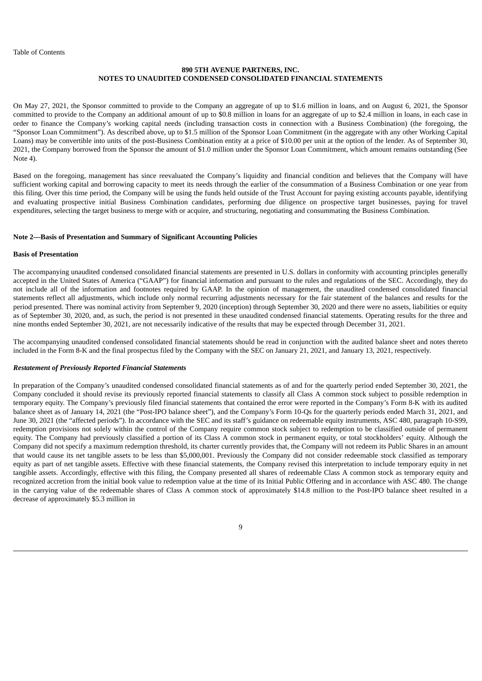On May 27, 2021, the Sponsor committed to provide to the Company an aggregate of up to \$1.6 million in loans, and on August 6, 2021, the Sponsor committed to provide to the Company an additional amount of up to \$0.8 million in loans for an aggregate of up to \$2.4 million in loans, in each case in order to finance the Company's working capital needs (including transaction costs in connection with a Business Combination) (the foregoing, the "Sponsor Loan Commitment"). As described above, up to \$1.5 million of the Sponsor Loan Commitment (in the aggregate with any other Working Capital Loans) may be convertible into units of the post-Business Combination entity at a price of \$10.00 per unit at the option of the lender. As of September 30, 2021, the Company borrowed from the Sponsor the amount of \$1.0 million under the Sponsor Loan Commitment, which amount remains outstanding (See Note 4).

Based on the foregoing, management has since reevaluated the Company's liquidity and financial condition and believes that the Company will have sufficient working capital and borrowing capacity to meet its needs through the earlier of the consummation of a Business Combination or one year from this filing. Over this time period, the Company will be using the funds held outside of the Trust Account for paying existing accounts payable, identifying and evaluating prospective initial Business Combination candidates, performing due diligence on prospective target businesses, paying for travel expenditures, selecting the target business to merge with or acquire, and structuring, negotiating and consummating the Business Combination.

#### **Note 2—Basis of Presentation and Summary of Significant Accounting Policies**

#### **Basis of Presentation**

The accompanying unaudited condensed consolidated financial statements are presented in U.S. dollars in conformity with accounting principles generally accepted in the United States of America ("GAAP") for financial information and pursuant to the rules and regulations of the SEC. Accordingly, they do not include all of the information and footnotes required by GAAP. In the opinion of management, the unaudited condensed consolidated financial statements reflect all adjustments, which include only normal recurring adjustments necessary for the fair statement of the balances and results for the period presented. There was nominal activity from September 9, 2020 (inception) through September 30, 2020 and there were no assets, liabilities or equity as of September 30, 2020, and, as such, the period is not presented in these unaudited condensed financial statements. Operating results for the three and nine months ended September 30, 2021, are not necessarily indicative of the results that may be expected through December 31, 2021.

The accompanying unaudited condensed consolidated financial statements should be read in conjunction with the audited balance sheet and notes thereto included in the Form 8-K and the final prospectus filed by the Company with the SEC on January 21, 2021, and January 13, 2021, respectively.

#### *Restatement of Previously Reported Financial Statements*

In preparation of the Company's unaudited condensed consolidated financial statements as of and for the quarterly period ended September 30, 2021, the Company concluded it should revise its previously reported financial statements to classify all Class A common stock subject to possible redemption in temporary equity. The Company's previously filed financial statements that contained the error were reported in the Company's Form 8-K with its audited balance sheet as of January 14, 2021 (the "Post-IPO balance sheet"), and the Company's Form 10-Qs for the quarterly periods ended March 31, 2021, and June 30, 2021 (the "affected periods"). In accordance with the SEC and its staff's guidance on redeemable equity instruments, ASC 480, paragraph 10-S99, redemption provisions not solely within the control of the Company require common stock subject to redemption to be classified outside of permanent equity. The Company had previously classified a portion of its Class A common stock in permanent equity, or total stockholders' equity. Although the Company did not specify a maximum redemption threshold, its charter currently provides that, the Company will not redeem its Public Shares in an amount that would cause its net tangible assets to be less than \$5,000,001. Previously the Company did not consider redeemable stock classified as temporary equity as part of net tangible assets. Effective with these financial statements, the Company revised this interpretation to include temporary equity in net tangible assets. Accordingly, effective with this filing, the Company presented all shares of redeemable Class A common stock as temporary equity and recognized accretion from the initial book value to redemption value at the time of its Initial Public Offering and in accordance with ASC 480. The change in the carrying value of the redeemable shares of Class A common stock of approximately \$14.8 million to the Post-IPO balance sheet resulted in a decrease of approximately \$5.3 million in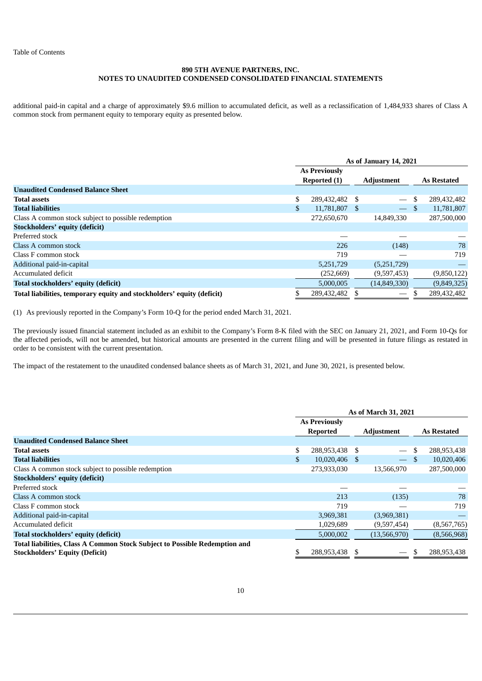additional paid-in capital and a charge of approximately \$9.6 million to accumulated deficit, as well as a reclassification of 1,484,933 shares of Class A common stock from permanent equity to temporary equity as presented below.

|                                                                        | As of January 14, 2021               |               |    |                          |    |             |  |  |  |  |  |  |  |  |  |  |  |  |  |  |  |  |  |  |  |  |  |  |  |  |  |
|------------------------------------------------------------------------|--------------------------------------|---------------|----|--------------------------|----|-------------|--|--|--|--|--|--|--|--|--|--|--|--|--|--|--|--|--|--|--|--|--|--|--|--|--|
|                                                                        | <b>As Previously</b><br>Reported (1) |               |    |                          |    |             |  |  |  |  |  |  |  |  |  |  |  |  |  |  |  |  |  |  |  |  |  |  |  |  |  |
|                                                                        |                                      |               |    | <b>Adjustment</b>        |    |             |  |  |  |  |  |  |  |  |  |  |  |  |  |  |  |  |  |  |  |  |  |  |  |  |  |
| <b>Unaudited Condensed Balance Sheet</b>                               |                                      |               |    |                          |    |             |  |  |  |  |  |  |  |  |  |  |  |  |  |  |  |  |  |  |  |  |  |  |  |  |  |
| <b>Total assets</b>                                                    | \$                                   | 289,432,482   | -S |                          | \$ | 289,432,482 |  |  |  |  |  |  |  |  |  |  |  |  |  |  |  |  |  |  |  |  |  |  |  |  |  |
| <b>Total liabilities</b>                                               | \$                                   | 11,781,807 \$ |    | $\overline{\phantom{0}}$ | -S | 11,781,807  |  |  |  |  |  |  |  |  |  |  |  |  |  |  |  |  |  |  |  |  |  |  |  |  |  |
| Class A common stock subject to possible redemption                    |                                      | 272,650,670   |    | 14,849,330               |    | 287,500,000 |  |  |  |  |  |  |  |  |  |  |  |  |  |  |  |  |  |  |  |  |  |  |  |  |  |
| <b>Stockholders' equity (deficit)</b>                                  |                                      |               |    |                          |    |             |  |  |  |  |  |  |  |  |  |  |  |  |  |  |  |  |  |  |  |  |  |  |  |  |  |
| Preferred stock                                                        |                                      |               |    |                          |    |             |  |  |  |  |  |  |  |  |  |  |  |  |  |  |  |  |  |  |  |  |  |  |  |  |  |
| Class A common stock                                                   |                                      | 226           |    | (148)                    |    | 78          |  |  |  |  |  |  |  |  |  |  |  |  |  |  |  |  |  |  |  |  |  |  |  |  |  |
| Class F common stock                                                   |                                      | 719           |    |                          |    | 719         |  |  |  |  |  |  |  |  |  |  |  |  |  |  |  |  |  |  |  |  |  |  |  |  |  |
| Additional paid-in-capital                                             |                                      | 5,251,729     |    | (5,251,729)              |    |             |  |  |  |  |  |  |  |  |  |  |  |  |  |  |  |  |  |  |  |  |  |  |  |  |  |
| Accumulated deficit                                                    |                                      | (252, 669)    |    | (9,597,453)              |    | (9,850,122) |  |  |  |  |  |  |  |  |  |  |  |  |  |  |  |  |  |  |  |  |  |  |  |  |  |
| Total stockholders' equity (deficit)                                   |                                      | 5,000,005     |    | (14, 849, 330)           |    | (9,849,325) |  |  |  |  |  |  |  |  |  |  |  |  |  |  |  |  |  |  |  |  |  |  |  |  |  |
| Total liabilities, temporary equity and stockholders' equity (deficit) |                                      | 289,432,482   |    |                          |    | 289,432,482 |  |  |  |  |  |  |  |  |  |  |  |  |  |  |  |  |  |  |  |  |  |  |  |  |  |

(1) As previously reported in the Company's Form 10-Q for the period ended March 31, 2021.

The previously issued financial statement included as an exhibit to the Company's Form 8-K filed with the SEC on January 21, 2021, and Form 10-Qs for the affected periods, will not be amended, but historical amounts are presented in the current filing and will be presented in future filings as restated in order to be consistent with the current presentation.

The impact of the restatement to the unaudited condensed balance sheets as of March 31, 2021, and June 30, 2021, is presented below.

|                                                                            | As of March 31, 2021                    |             |                   |                          |     |                    |
|----------------------------------------------------------------------------|-----------------------------------------|-------------|-------------------|--------------------------|-----|--------------------|
|                                                                            | <b>As Previously</b><br><b>Reported</b> |             | <b>Adjustment</b> |                          |     | <b>As Restated</b> |
| <b>Unaudited Condensed Balance Sheet</b>                                   |                                         |             |                   |                          |     |                    |
| <b>Total assets</b>                                                        | \$                                      | 288,953,438 | S                 | $\overline{\phantom{0}}$ | \$  | 288,953,438        |
| <b>Total liabilities</b>                                                   |                                         | 10,020,406  | - \$              |                          | -S  | 10,020,406         |
| Class A common stock subject to possible redemption                        |                                         | 273,933,030 |                   | 13,566,970               |     | 287,500,000        |
| Stockholders' equity (deficit)                                             |                                         |             |                   |                          |     |                    |
| Preferred stock                                                            |                                         |             |                   |                          |     |                    |
| Class A common stock                                                       |                                         | 213         |                   | (135)                    |     | 78                 |
| Class F common stock                                                       |                                         | 719         |                   |                          |     | 719                |
| Additional paid-in-capital                                                 |                                         | 3,969,381   |                   | (3,969,381)              |     |                    |
| Accumulated deficit                                                        |                                         | 1,029,689   |                   | (9,597,454)              |     | (8,567,765)        |
| Total stockholders' equity (deficit)                                       |                                         | 5,000,002   |                   | (13,566,970)             |     | (8,566,968)        |
| Total liabilities, Class A Common Stock Subject to Possible Redemption and |                                         |             |                   |                          |     |                    |
| <b>Stockholders' Equity (Deficit)</b>                                      |                                         | 288,953,438 |                   |                          | \$. | 288,953,438        |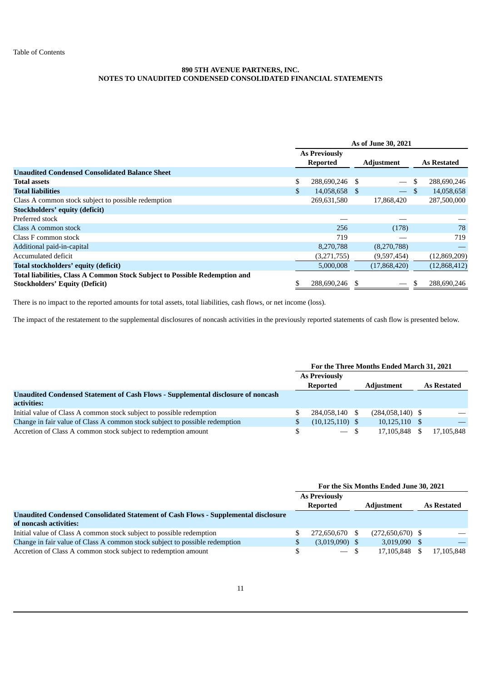| As of June 30, 2021  |             |                 |                          |                   |                    |
|----------------------|-------------|-----------------|--------------------------|-------------------|--------------------|
| <b>As Previously</b> |             |                 |                          |                   | <b>As Restated</b> |
|                      |             |                 |                          |                   |                    |
| \$                   | 288,690,246 | -S              | $\hspace{0.05cm}$        | \$                | 288,690,246        |
| \$.                  | 14,058,658  | - S             | $\overline{\phantom{m}}$ | <sup>\$</sup>     | 14,058,658         |
|                      | 269,631,580 |                 | 17,868,420               |                   | 287,500,000        |
|                      |             |                 |                          |                   |                    |
|                      |             |                 |                          |                   |                    |
|                      | 256         |                 | (178)                    |                   | 78                 |
|                      | 719         |                 |                          |                   | 719                |
|                      | 8,270,788   |                 | (8,270,788)              |                   |                    |
|                      | (3,271,755) |                 | (9,597,454)              |                   | (12,869,209)       |
|                      | 5,000,008   |                 | (17,868,420)             |                   | (12,868,412)       |
|                      |             |                 |                          |                   |                    |
|                      | 288,690,246 |                 |                          |                   | 288,690,246        |
|                      |             | <b>Reported</b> |                          | <b>Adjustment</b> |                    |

There is no impact to the reported amounts for total assets, total liabilities, cash flows, or net income (loss).

The impact of the restatement to the supplemental disclosures of noncash activities in the previously reported statements of cash flow is presented below.

|                                                                                  | For the Three Months Ended March 31, 2021 |                                         |     |                    |  |                    |
|----------------------------------------------------------------------------------|-------------------------------------------|-----------------------------------------|-----|--------------------|--|--------------------|
|                                                                                  |                                           | <b>As Previously</b><br><b>Reported</b> |     | <b>Adjustment</b>  |  | <b>As Restated</b> |
| Unaudited Condensed Statement of Cash Flows - Supplemental disclosure of noncash |                                           |                                         |     |                    |  |                    |
| activities:                                                                      |                                           |                                         |     |                    |  |                    |
| Initial value of Class A common stock subject to possible redemption             |                                           | 284,058,140                             | \$. | $(284,058,140)$ \$ |  |                    |
| Change in fair value of Class A common stock subject to possible redemption      |                                           | $(10, 125, 110)$ \$                     |     | $10,125,110$ \$    |  |                    |
| Accretion of Class A common stock subject to redemption amount                   |                                           | $-$ \$                                  |     | 17.105.848 \$      |  | 17.105.848         |

|                                                                                    | For the Six Months Ended June 30, 2021 |                               |     |                    |  |                    |
|------------------------------------------------------------------------------------|----------------------------------------|-------------------------------|-----|--------------------|--|--------------------|
|                                                                                    |                                        | <b>As Previously</b>          |     |                    |  |                    |
|                                                                                    |                                        | <b>Reported</b>               |     | <b>Adjustment</b>  |  | <b>As Restated</b> |
| Unaudited Condensed Consolidated Statement of Cash Flows - Supplemental disclosure |                                        |                               |     |                    |  |                    |
| of noncash activities:                                                             |                                        |                               |     |                    |  |                    |
| Initial value of Class A common stock subject to possible redemption               |                                        | 272,650,670                   | -S  | $(272,650,670)$ \$ |  |                    |
| Change in fair value of Class A common stock subject to possible redemption        |                                        | $(3,019,090)$ \$              |     | $3,019,090$ \$     |  |                    |
| Accretion of Class A common stock subject to redemption amount                     |                                        | $\overbrace{\phantom{12333}}$ | - S | 17,105,848 \$      |  | 17,105,848         |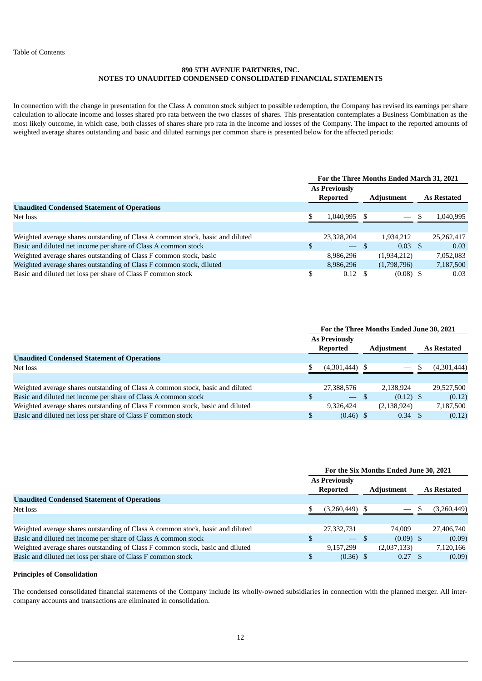In connection with the change in presentation for the Class A common stock subject to possible redemption, the Company has revised its earnings per share calculation to allocate income and losses shared pro rata between the two classes of shares. This presentation contemplates a Business Combination as the most likely outcome, in which case, both classes of shares share pro rata in the income and losses of the Company. The impact to the reported amounts of weighted average shares outstanding and basic and diluted earnings per common share is presented below for the affected periods:

|                                                                                | For the Three Months Ended March 31, 2021 |                      |  |                   |  |                    |
|--------------------------------------------------------------------------------|-------------------------------------------|----------------------|--|-------------------|--|--------------------|
|                                                                                |                                           | <b>As Previously</b> |  |                   |  |                    |
|                                                                                |                                           | <b>Reported</b>      |  | <b>Adjustment</b> |  | <b>As Restated</b> |
| <b>Unaudited Condensed Statement of Operations</b>                             |                                           |                      |  |                   |  |                    |
| Net loss                                                                       |                                           | 1.040.995            |  |                   |  | 1.040.995          |
|                                                                                |                                           |                      |  |                   |  |                    |
| Weighted average shares outstanding of Class A common stock, basic and diluted |                                           | 23.328.204           |  | 1.934.212         |  | 25, 262, 417       |
| Basic and diluted net income per share of Class A common stock                 | \$                                        | $-$ \$               |  | $0.03 \quad$ \$   |  | 0.03               |
| Weighted average shares outstanding of Class F common stock, basic             |                                           | 8.986.296            |  | (1,934,212)       |  | 7,052,083          |
| Weighted average shares outstanding of Class F common stock, diluted           |                                           | 8,986,296            |  | (1,798,796)       |  | 7,187,500          |
| Basic and diluted net loss per share of Class F common stock                   |                                           | $0.12 \quad$ \$      |  | $(0.08)$ \$       |  | 0.03               |

|                                                                                | For the Three Months Ended June 30, 2021 |                      |  |                               |  |                    |
|--------------------------------------------------------------------------------|------------------------------------------|----------------------|--|-------------------------------|--|--------------------|
|                                                                                |                                          | <b>As Previously</b> |  |                               |  |                    |
|                                                                                |                                          | Reported             |  | <b>Adjustment</b>             |  | <b>As Restated</b> |
| <b>Unaudited Condensed Statement of Operations</b>                             |                                          |                      |  |                               |  |                    |
| Net loss                                                                       |                                          | $(4,301,444)$ \$     |  | $\overbrace{\phantom{13333}}$ |  | (4,301,444)        |
|                                                                                |                                          |                      |  |                               |  |                    |
| Weighted average shares outstanding of Class A common stock, basic and diluted |                                          | 27,388,576           |  | 2.138.924                     |  | 29,527,500         |
| Basic and diluted net income per share of Class A common stock                 |                                          | $-$ \$               |  | $(0.12)$ \$                   |  | (0.12)             |
| Weighted average shares outstanding of Class F common stock, basic and diluted |                                          | 9,326,424            |  | (2, 138, 924)                 |  | 7,187,500          |
| Basic and diluted net loss per share of Class F common stock                   |                                          | $(0.46)$ \$          |  | $0.34 \quad $$                |  | (0.12)             |

|                                                                                | For the Six Months Ended June 30, 2021 |                      |  |                          |      |                    |
|--------------------------------------------------------------------------------|----------------------------------------|----------------------|--|--------------------------|------|--------------------|
|                                                                                |                                        | <b>As Previously</b> |  |                          |      |                    |
|                                                                                |                                        | <b>Reported</b>      |  | <b>Adjustment</b>        |      | <b>As Restated</b> |
| <b>Unaudited Condensed Statement of Operations</b>                             |                                        |                      |  |                          |      |                    |
| Net loss                                                                       |                                        | $(3,260,449)$ \$     |  | $\overline{\phantom{a}}$ | - 30 | (3,260,449)        |
|                                                                                |                                        |                      |  |                          |      |                    |
| Weighted average shares outstanding of Class A common stock, basic and diluted |                                        | 27.332.731           |  | 74,009                   |      | 27,406,740         |
| Basic and diluted net income per share of Class A common stock                 |                                        | $-$ \$               |  | $(0.09)$ \$              |      | (0.09)             |
| Weighted average shares outstanding of Class F common stock, basic and diluted |                                        | 9,157,299            |  | (2,037,133)              |      | 7,120,166          |
| Basic and diluted net loss per share of Class F common stock                   | S                                      | $(0.36)$ \$          |  | 0.27                     |      | (0.09)             |

#### **Principles of Consolidation**

The condensed consolidated financial statements of the Company include its wholly-owned subsidiaries in connection with the planned merger. All intercompany accounts and transactions are eliminated in consolidation.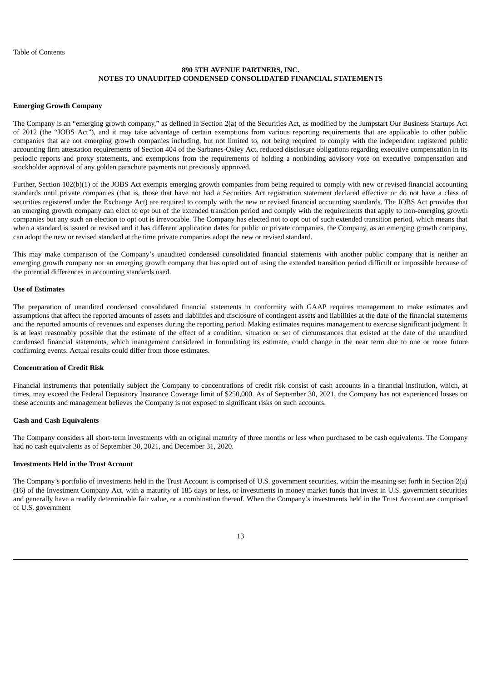#### **Emerging Growth Company**

The Company is an "emerging growth company," as defined in Section 2(a) of the Securities Act, as modified by the Jumpstart Our Business Startups Act of 2012 (the "JOBS Act"), and it may take advantage of certain exemptions from various reporting requirements that are applicable to other public companies that are not emerging growth companies including, but not limited to, not being required to comply with the independent registered public accounting firm attestation requirements of Section 404 of the Sarbanes-Oxley Act, reduced disclosure obligations regarding executive compensation in its periodic reports and proxy statements, and exemptions from the requirements of holding a nonbinding advisory vote on executive compensation and stockholder approval of any golden parachute payments not previously approved.

Further, Section 102(b)(1) of the JOBS Act exempts emerging growth companies from being required to comply with new or revised financial accounting standards until private companies (that is, those that have not had a Securities Act registration statement declared effective or do not have a class of securities registered under the Exchange Act) are required to comply with the new or revised financial accounting standards. The JOBS Act provides that an emerging growth company can elect to opt out of the extended transition period and comply with the requirements that apply to non-emerging growth companies but any such an election to opt out is irrevocable. The Company has elected not to opt out of such extended transition period, which means that when a standard is issued or revised and it has different application dates for public or private companies, the Company, as an emerging growth company, can adopt the new or revised standard at the time private companies adopt the new or revised standard.

This may make comparison of the Company's unaudited condensed consolidated financial statements with another public company that is neither an emerging growth company nor an emerging growth company that has opted out of using the extended transition period difficult or impossible because of the potential differences in accounting standards used.

# **Use of Estimates**

The preparation of unaudited condensed consolidated financial statements in conformity with GAAP requires management to make estimates and assumptions that affect the reported amounts of assets and liabilities and disclosure of contingent assets and liabilities at the date of the financial statements and the reported amounts of revenues and expenses during the reporting period. Making estimates requires management to exercise significant judgment. It is at least reasonably possible that the estimate of the effect of a condition, situation or set of circumstances that existed at the date of the unaudited condensed financial statements, which management considered in formulating its estimate, could change in the near term due to one or more future confirming events. Actual results could differ from those estimates.

#### **Concentration of Credit Risk**

Financial instruments that potentially subject the Company to concentrations of credit risk consist of cash accounts in a financial institution, which, at times, may exceed the Federal Depository Insurance Coverage limit of \$250,000. As of September 30, 2021, the Company has not experienced losses on these accounts and management believes the Company is not exposed to significant risks on such accounts.

# **Cash and Cash Equivalents**

The Company considers all short-term investments with an original maturity of three months or less when purchased to be cash equivalents. The Company had no cash equivalents as of September 30, 2021, and December 31, 2020.

## **Investments Held in the Trust Account**

The Company's portfolio of investments held in the Trust Account is comprised of U.S. government securities, within the meaning set forth in Section 2(a) (16) of the Investment Company Act, with a maturity of 185 days or less, or investments in money market funds that invest in U.S. government securities and generally have a readily determinable fair value, or a combination thereof. When the Company's investments held in the Trust Account are comprised of U.S. government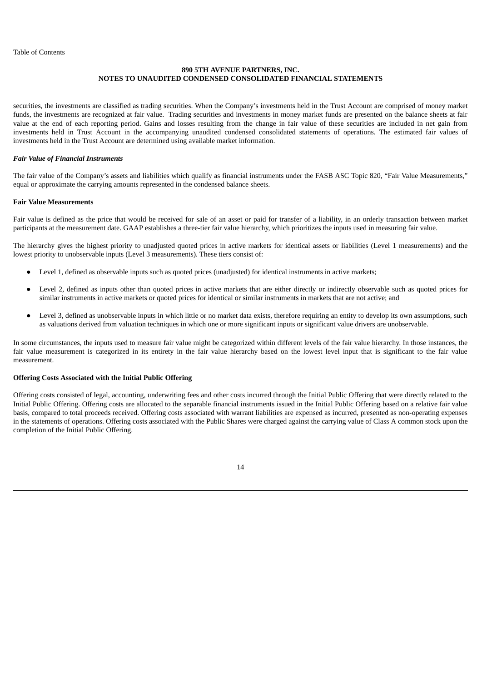securities, the investments are classified as trading securities. When the Company's investments held in the Trust Account are comprised of money market funds, the investments are recognized at fair value. Trading securities and investments in money market funds are presented on the balance sheets at fair value at the end of each reporting period. Gains and losses resulting from the change in fair value of these securities are included in net gain from investments held in Trust Account in the accompanying unaudited condensed consolidated statements of operations. The estimated fair values of investments held in the Trust Account are determined using available market information.

#### *Fair Value of Financial Instruments*

The fair value of the Company's assets and liabilities which qualify as financial instruments under the FASB ASC Topic 820, "Fair Value Measurements," equal or approximate the carrying amounts represented in the condensed balance sheets.

#### **Fair Value Measurements**

Fair value is defined as the price that would be received for sale of an asset or paid for transfer of a liability, in an orderly transaction between market participants at the measurement date. GAAP establishes a three-tier fair value hierarchy, which prioritizes the inputs used in measuring fair value.

The hierarchy gives the highest priority to unadjusted quoted prices in active markets for identical assets or liabilities (Level 1 measurements) and the lowest priority to unobservable inputs (Level 3 measurements). These tiers consist of:

- Level 1, defined as observable inputs such as quoted prices (unadjusted) for identical instruments in active markets;
- Level 2, defined as inputs other than quoted prices in active markets that are either directly or indirectly observable such as quoted prices for similar instruments in active markets or quoted prices for identical or similar instruments in markets that are not active; and
- Level 3, defined as unobservable inputs in which little or no market data exists, therefore requiring an entity to develop its own assumptions, such as valuations derived from valuation techniques in which one or more significant inputs or significant value drivers are unobservable.

In some circumstances, the inputs used to measure fair value might be categorized within different levels of the fair value hierarchy. In those instances, the fair value measurement is categorized in its entirety in the fair value hierarchy based on the lowest level input that is significant to the fair value measurement.

# **Offering Costs Associated with the Initial Public Offering**

Offering costs consisted of legal, accounting, underwriting fees and other costs incurred through the Initial Public Offering that were directly related to the Initial Public Offering. Offering costs are allocated to the separable financial instruments issued in the Initial Public Offering based on a relative fair value basis, compared to total proceeds received. Offering costs associated with warrant liabilities are expensed as incurred, presented as non-operating expenses in the statements of operations. Offering costs associated with the Public Shares were charged against the carrying value of Class A common stock upon the completion of the Initial Public Offering.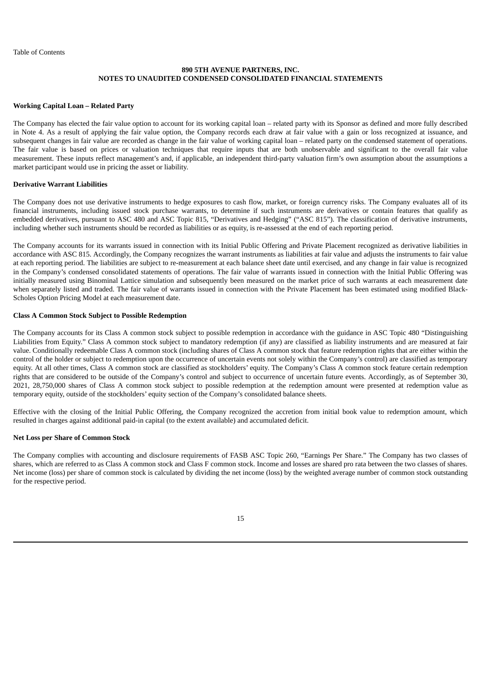#### **Working Capital Loan – Related Party**

The Company has elected the fair value option to account for its working capital loan – related party with its Sponsor as defined and more fully described in Note 4. As a result of applying the fair value option, the Company records each draw at fair value with a gain or loss recognized at issuance, and subsequent changes in fair value are recorded as change in the fair value of working capital loan – related party on the condensed statement of operations. The fair value is based on prices or valuation techniques that require inputs that are both unobservable and significant to the overall fair value measurement. These inputs reflect management's and, if applicable, an independent third-party valuation firm's own assumption about the assumptions a market participant would use in pricing the asset or liability.

#### **Derivative Warrant Liabilities**

The Company does not use derivative instruments to hedge exposures to cash flow, market, or foreign currency risks. The Company evaluates all of its financial instruments, including issued stock purchase warrants, to determine if such instruments are derivatives or contain features that qualify as embedded derivatives, pursuant to ASC 480 and ASC Topic 815, "Derivatives and Hedging" ("ASC 815"). The classification of derivative instruments, including whether such instruments should be recorded as liabilities or as equity, is re-assessed at the end of each reporting period.

The Company accounts for its warrants issued in connection with its Initial Public Offering and Private Placement recognized as derivative liabilities in accordance with ASC 815. Accordingly, the Company recognizes the warrant instruments as liabilities at fair value and adjusts the instruments to fair value at each reporting period. The liabilities are subject to re-measurement at each balance sheet date until exercised, and any change in fair value is recognized in the Company's condensed consolidated statements of operations. The fair value of warrants issued in connection with the Initial Public Offering was initially measured using Binominal Lattice simulation and subsequently been measured on the market price of such warrants at each measurement date when separately listed and traded. The fair value of warrants issued in connection with the Private Placement has been estimated using modified Black-Scholes Option Pricing Model at each measurement date.

#### **Class A Common Stock Subject to Possible Redemption**

The Company accounts for its Class A common stock subject to possible redemption in accordance with the guidance in ASC Topic 480 "Distinguishing Liabilities from Equity." Class A common stock subject to mandatory redemption (if any) are classified as liability instruments and are measured at fair value. Conditionally redeemable Class A common stock (including shares of Class A common stock that feature redemption rights that are either within the control of the holder or subject to redemption upon the occurrence of uncertain events not solely within the Company's control) are classified as temporary equity. At all other times, Class A common stock are classified as stockholders' equity. The Company's Class A common stock feature certain redemption rights that are considered to be outside of the Company's control and subject to occurrence of uncertain future events. Accordingly, as of September 30, 2021, 28,750,000 shares of Class A common stock subject to possible redemption at the redemption amount were presented at redemption value as temporary equity, outside of the stockholders' equity section of the Company's consolidated balance sheets.

Effective with the closing of the Initial Public Offering, the Company recognized the accretion from initial book value to redemption amount, which resulted in charges against additional paid-in capital (to the extent available) and accumulated deficit.

# **Net Loss per Share of Common Stock**

The Company complies with accounting and disclosure requirements of FASB ASC Topic 260, "Earnings Per Share." The Company has two classes of shares, which are referred to as Class A common stock and Class F common stock. Income and losses are shared pro rata between the two classes of shares. Net income (loss) per share of common stock is calculated by dividing the net income (loss) by the weighted average number of common stock outstanding for the respective period.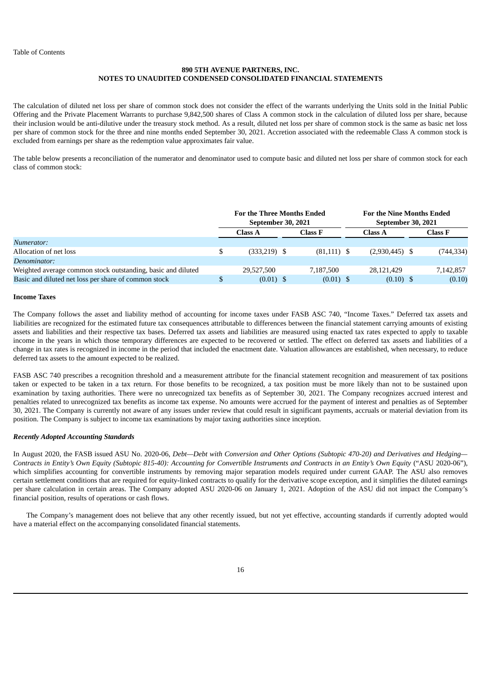The calculation of diluted net loss per share of common stock does not consider the effect of the warrants underlying the Units sold in the Initial Public Offering and the Private Placement Warrants to purchase 9,842,500 shares of Class A common stock in the calculation of diluted loss per share, because their inclusion would be anti-dilutive under the treasury stock method. As a result, diluted net loss per share of common stock is the same as basic net loss per share of common stock for the three and nine months ended September 30, 2021. Accretion associated with the redeemable Class A common stock is excluded from earnings per share as the redemption value approximates fair value.

The table below presents a reconciliation of the numerator and denominator used to compute basic and diluted net loss per share of common stock for each class of common stock:

|                                                              | <b>For the Three Months Ended</b><br>September 30, 2021 |  |                | <b>For the Nine Months Ended</b><br>September 30, 2021 |  |            |
|--------------------------------------------------------------|---------------------------------------------------------|--|----------------|--------------------------------------------------------|--|------------|
|                                                              | <b>Class A</b>                                          |  | <b>Class F</b> | Class A                                                |  | Class F    |
| Numerator:                                                   |                                                         |  |                |                                                        |  |            |
| Allocation of net loss                                       | \$<br>$(333,219)$ \$                                    |  | $(81,111)$ \$  | $(2,930,445)$ \$                                       |  | (744, 334) |
| Denominator:                                                 |                                                         |  |                |                                                        |  |            |
| Weighted average common stock outstanding, basic and diluted | 29.527.500                                              |  | 7.187.500      | 28.121.429                                             |  | 7,142,857  |
| Basic and diluted net loss per share of common stock         | \$<br>$(0.01)$ \$                                       |  | $(0.01)$ \$    | $(0.10)$ \$                                            |  | (0.10)     |

## **Income Taxes**

The Company follows the asset and liability method of accounting for income taxes under FASB ASC 740, "Income Taxes." Deferred tax assets and liabilities are recognized for the estimated future tax consequences attributable to differences between the financial statement carrying amounts of existing assets and liabilities and their respective tax bases. Deferred tax assets and liabilities are measured using enacted tax rates expected to apply to taxable income in the years in which those temporary differences are expected to be recovered or settled. The effect on deferred tax assets and liabilities of a change in tax rates is recognized in income in the period that included the enactment date. Valuation allowances are established, when necessary, to reduce deferred tax assets to the amount expected to be realized.

FASB ASC 740 prescribes a recognition threshold and a measurement attribute for the financial statement recognition and measurement of tax positions taken or expected to be taken in a tax return. For those benefits to be recognized, a tax position must be more likely than not to be sustained upon examination by taxing authorities. There were no unrecognized tax benefits as of September 30, 2021. The Company recognizes accrued interest and penalties related to unrecognized tax benefits as income tax expense. No amounts were accrued for the payment of interest and penalties as of September 30, 2021. The Company is currently not aware of any issues under review that could result in significant payments, accruals or material deviation from its position. The Company is subject to income tax examinations by major taxing authorities since inception.

#### *Recently Adopted Accounting Standards*

In August 2020, the FASB issued ASU No. 2020-06, *Debt—Debt with Conversion and Other Options (Subtopic 470-20) and Derivatives and Hedging—* Contracts in Entity's Own Equity (Subtopic 815-40): Accounting for Convertible Instruments and Contracts in an Entity's Own Equity ("ASU 2020-06"), which simplifies accounting for convertible instruments by removing major separation models required under current GAAP. The ASU also removes certain settlement conditions that are required for equity-linked contracts to qualify for the derivative scope exception, and it simplifies the diluted earnings per share calculation in certain areas. The Company adopted ASU 2020-06 on January 1, 2021. Adoption of the ASU did not impact the Company's financial position, results of operations or cash flows.

The Company's management does not believe that any other recently issued, but not yet effective, accounting standards if currently adopted would have a material effect on the accompanying consolidated financial statements.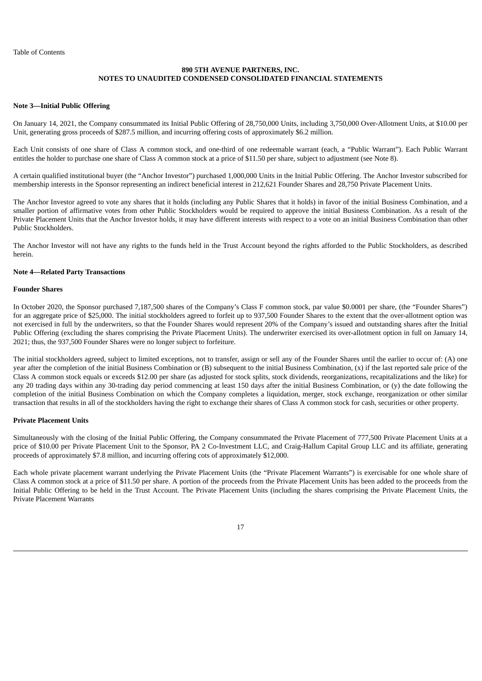#### **Note 3—Initial Public Offering**

On January 14, 2021, the Company consummated its Initial Public Offering of 28,750,000 Units, including 3,750,000 Over-Allotment Units, at \$10.00 per Unit, generating gross proceeds of \$287.5 million, and incurring offering costs of approximately \$6.2 million.

Each Unit consists of one share of Class A common stock, and one-third of one redeemable warrant (each, a "Public Warrant"). Each Public Warrant entitles the holder to purchase one share of Class A common stock at a price of \$11.50 per share, subject to adjustment (see Note 8).

A certain qualified institutional buyer (the "Anchor Investor") purchased 1,000,000 Units in the Initial Public Offering. The Anchor Investor subscribed for membership interests in the Sponsor representing an indirect beneficial interest in 212,621 Founder Shares and 28,750 Private Placement Units.

The Anchor Investor agreed to vote any shares that it holds (including any Public Shares that it holds) in favor of the initial Business Combination, and a smaller portion of affirmative votes from other Public Stockholders would be required to approve the initial Business Combination. As a result of the Private Placement Units that the Anchor Investor holds, it may have different interests with respect to a vote on an initial Business Combination than other Public Stockholders.

The Anchor Investor will not have any rights to the funds held in the Trust Account beyond the rights afforded to the Public Stockholders, as described herein.

#### **Note 4—Related Party Transactions**

#### **Founder Shares**

In October 2020, the Sponsor purchased 7,187,500 shares of the Company's Class F common stock, par value \$0.0001 per share, (the "Founder Shares") for an aggregate price of \$25,000. The initial stockholders agreed to forfeit up to 937,500 Founder Shares to the extent that the over-allotment option was not exercised in full by the underwriters, so that the Founder Shares would represent 20% of the Company's issued and outstanding shares after the Initial Public Offering (excluding the shares comprising the Private Placement Units). The underwriter exercised its over-allotment option in full on January 14, 2021; thus, the 937,500 Founder Shares were no longer subject to forfeiture.

The initial stockholders agreed, subject to limited exceptions, not to transfer, assign or sell any of the Founder Shares until the earlier to occur of: (A) one year after the completion of the initial Business Combination or (B) subsequent to the initial Business Combination, (x) if the last reported sale price of the Class A common stock equals or exceeds \$12.00 per share (as adjusted for stock splits, stock dividends, reorganizations, recapitalizations and the like) for any 20 trading days within any 30-trading day period commencing at least 150 days after the initial Business Combination, or (y) the date following the completion of the initial Business Combination on which the Company completes a liquidation, merger, stock exchange, reorganization or other similar transaction that results in all of the stockholders having the right to exchange their shares of Class A common stock for cash, securities or other property.

# **Private Placement Units**

Simultaneously with the closing of the Initial Public Offering, the Company consummated the Private Placement of 777,500 Private Placement Units at a price of \$10.00 per Private Placement Unit to the Sponsor, PA 2 Co-Investment LLC, and Craig-Hallum Capital Group LLC and its affiliate, generating proceeds of approximately \$7.8 million, and incurring offering cots of approximately \$12,000.

Each whole private placement warrant underlying the Private Placement Units (the "Private Placement Warrants") is exercisable for one whole share of Class A common stock at a price of \$11.50 per share. A portion of the proceeds from the Private Placement Units has been added to the proceeds from the Initial Public Offering to be held in the Trust Account. The Private Placement Units (including the shares comprising the Private Placement Units, the Private Placement Warrants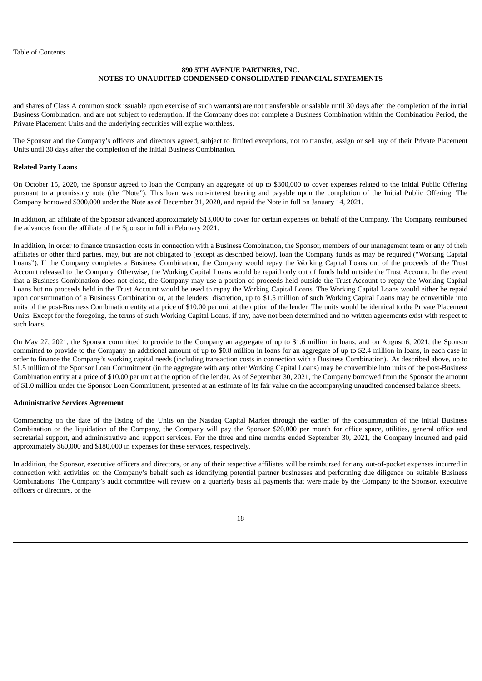and shares of Class A common stock issuable upon exercise of such warrants) are not transferable or salable until 30 days after the completion of the initial Business Combination, and are not subject to redemption. If the Company does not complete a Business Combination within the Combination Period, the Private Placement Units and the underlying securities will expire worthless.

The Sponsor and the Company's officers and directors agreed, subject to limited exceptions, not to transfer, assign or sell any of their Private Placement Units until 30 days after the completion of the initial Business Combination.

#### **Related Party Loans**

On October 15, 2020, the Sponsor agreed to loan the Company an aggregate of up to \$300,000 to cover expenses related to the Initial Public Offering pursuant to a promissory note (the "Note"). This loan was non-interest bearing and payable upon the completion of the Initial Public Offering. The Company borrowed \$300,000 under the Note as of December 31, 2020, and repaid the Note in full on January 14, 2021.

In addition, an affiliate of the Sponsor advanced approximately \$13,000 to cover for certain expenses on behalf of the Company. The Company reimbursed the advances from the affiliate of the Sponsor in full in February 2021.

In addition, in order to finance transaction costs in connection with a Business Combination, the Sponsor, members of our management team or any of their affiliates or other third parties, may, but are not obligated to (except as described below), loan the Company funds as may be required ("Working Capital Loans"). If the Company completes a Business Combination, the Company would repay the Working Capital Loans out of the proceeds of the Trust Account released to the Company. Otherwise, the Working Capital Loans would be repaid only out of funds held outside the Trust Account. In the event that a Business Combination does not close, the Company may use a portion of proceeds held outside the Trust Account to repay the Working Capital Loans but no proceeds held in the Trust Account would be used to repay the Working Capital Loans. The Working Capital Loans would either be repaid upon consummation of a Business Combination or, at the lenders' discretion, up to \$1.5 million of such Working Capital Loans may be convertible into units of the post-Business Combination entity at a price of \$10.00 per unit at the option of the lender. The units would be identical to the Private Placement Units. Except for the foregoing, the terms of such Working Capital Loans, if any, have not been determined and no written agreements exist with respect to such loans.

On May 27, 2021, the Sponsor committed to provide to the Company an aggregate of up to \$1.6 million in loans, and on August 6, 2021, the Sponsor committed to provide to the Company an additional amount of up to \$0.8 million in loans for an aggregate of up to \$2.4 million in loans, in each case in order to finance the Company's working capital needs (including transaction costs in connection with a Business Combination). As described above, up to \$1.5 million of the Sponsor Loan Commitment (in the aggregate with any other Working Capital Loans) may be convertible into units of the post-Business Combination entity at a price of \$10.00 per unit at the option of the lender. As of September 30, 2021, the Company borrowed from the Sponsor the amount of \$1.0 million under the Sponsor Loan Commitment, presented at an estimate of its fair value on the accompanying unaudited condensed balance sheets.

#### **Administrative Services Agreement**

Commencing on the date of the listing of the Units on the Nasdaq Capital Market through the earlier of the consummation of the initial Business Combination or the liquidation of the Company, the Company will pay the Sponsor \$20,000 per month for office space, utilities, general office and secretarial support, and administrative and support services. For the three and nine months ended September 30, 2021, the Company incurred and paid approximately \$60,000 and \$180,000 in expenses for these services, respectively.

In addition, the Sponsor, executive officers and directors, or any of their respective affiliates will be reimbursed for any out-of-pocket expenses incurred in connection with activities on the Company's behalf such as identifying potential partner businesses and performing due diligence on suitable Business Combinations. The Company's audit committee will review on a quarterly basis all payments that were made by the Company to the Sponsor, executive officers or directors, or the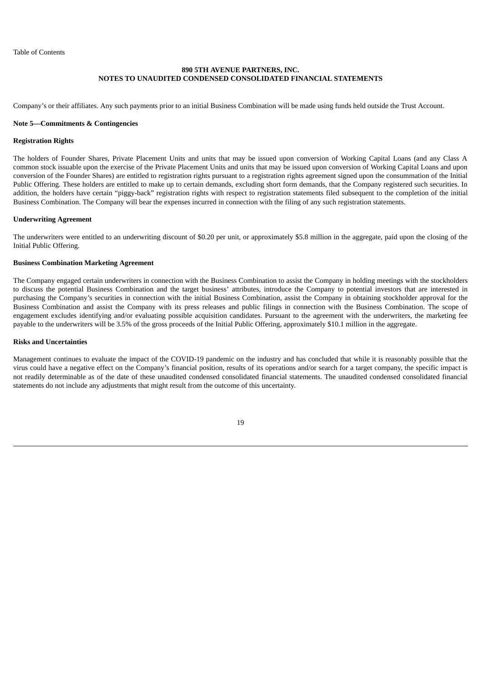Company's or their affiliates. Any such payments prior to an initial Business Combination will be made using funds held outside the Trust Account.

#### **Note 5—Commitments & Contingencies**

#### **Registration Rights**

The holders of Founder Shares, Private Placement Units and units that may be issued upon conversion of Working Capital Loans (and any Class A common stock issuable upon the exercise of the Private Placement Units and units that may be issued upon conversion of Working Capital Loans and upon conversion of the Founder Shares) are entitled to registration rights pursuant to a registration rights agreement signed upon the consummation of the Initial Public Offering. These holders are entitled to make up to certain demands, excluding short form demands, that the Company registered such securities. In addition, the holders have certain "piggy-back" registration rights with respect to registration statements filed subsequent to the completion of the initial Business Combination. The Company will bear the expenses incurred in connection with the filing of any such registration statements.

#### **Underwriting Agreement**

The underwriters were entitled to an underwriting discount of \$0.20 per unit, or approximately \$5.8 million in the aggregate, paid upon the closing of the Initial Public Offering.

## **Business Combination Marketing Agreement**

The Company engaged certain underwriters in connection with the Business Combination to assist the Company in holding meetings with the stockholders to discuss the potential Business Combination and the target business' attributes, introduce the Company to potential investors that are interested in purchasing the Company's securities in connection with the initial Business Combination, assist the Company in obtaining stockholder approval for the Business Combination and assist the Company with its press releases and public filings in connection with the Business Combination. The scope of engagement excludes identifying and/or evaluating possible acquisition candidates. Pursuant to the agreement with the underwriters, the marketing fee payable to the underwriters will be 3.5% of the gross proceeds of the Initial Public Offering, approximately \$10.1 million in the aggregate.

#### **Risks and Uncertainties**

Management continues to evaluate the impact of the COVID-19 pandemic on the industry and has concluded that while it is reasonably possible that the virus could have a negative effect on the Company's financial position, results of its operations and/or search for a target company, the specific impact is not readily determinable as of the date of these unaudited condensed consolidated financial statements. The unaudited condensed consolidated financial statements do not include any adjustments that might result from the outcome of this uncertainty.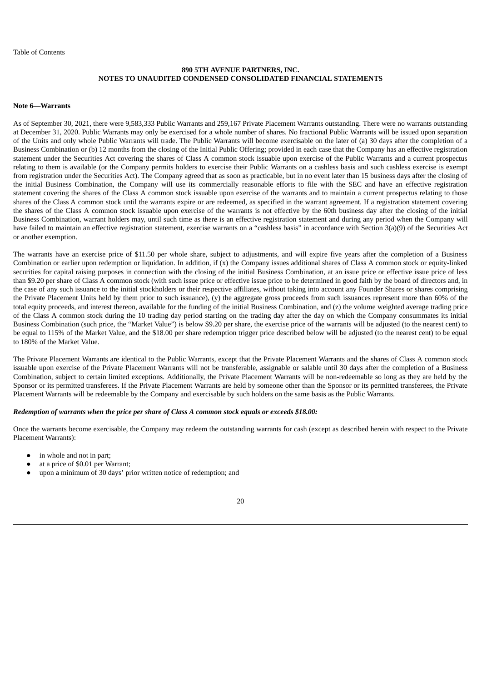#### **Note 6**—**Warrants**

As of September 30, 2021, there were 9,583,333 Public Warrants and 259,167 Private Placement Warrants outstanding. There were no warrants outstanding at December 31, 2020. Public Warrants may only be exercised for a whole number of shares. No fractional Public Warrants will be issued upon separation of the Units and only whole Public Warrants will trade. The Public Warrants will become exercisable on the later of (a) 30 days after the completion of a Business Combination or (b) 12 months from the closing of the Initial Public Offering; provided in each case that the Company has an effective registration statement under the Securities Act covering the shares of Class A common stock issuable upon exercise of the Public Warrants and a current prospectus relating to them is available (or the Company permits holders to exercise their Public Warrants on a cashless basis and such cashless exercise is exempt from registration under the Securities Act). The Company agreed that as soon as practicable, but in no event later than 15 business days after the closing of the initial Business Combination, the Company will use its commercially reasonable efforts to file with the SEC and have an effective registration statement covering the shares of the Class A common stock issuable upon exercise of the warrants and to maintain a current prospectus relating to those shares of the Class A common stock until the warrants expire or are redeemed, as specified in the warrant agreement. If a registration statement covering the shares of the Class A common stock issuable upon exercise of the warrants is not effective by the 60th business day after the closing of the initial Business Combination, warrant holders may, until such time as there is an effective registration statement and during any period when the Company will have failed to maintain an effective registration statement, exercise warrants on a "cashless basis" in accordance with Section 3(a)(9) of the Securities Act or another exemption.

The warrants have an exercise price of \$11.50 per whole share, subject to adjustments, and will expire five years after the completion of a Business Combination or earlier upon redemption or liquidation. In addition, if (x) the Company issues additional shares of Class A common stock or equity-linked securities for capital raising purposes in connection with the closing of the initial Business Combination, at an issue price or effective issue price of less than \$9.20 per share of Class A common stock (with such issue price or effective issue price to be determined in good faith by the board of directors and, in the case of any such issuance to the initial stockholders or their respective affiliates, without taking into account any Founder Shares or shares comprising the Private Placement Units held by them prior to such issuance), (y) the aggregate gross proceeds from such issuances represent more than 60% of the total equity proceeds, and interest thereon, available for the funding of the initial Business Combination, and (z) the volume weighted average trading price of the Class A common stock during the 10 trading day period starting on the trading day after the day on which the Company consummates its initial Business Combination (such price, the "Market Value") is below \$9.20 per share, the exercise price of the warrants will be adjusted (to the nearest cent) to be equal to 115% of the Market Value, and the \$18.00 per share redemption trigger price described below will be adjusted (to the nearest cent) to be equal to 180% of the Market Value.

The Private Placement Warrants are identical to the Public Warrants, except that the Private Placement Warrants and the shares of Class A common stock issuable upon exercise of the Private Placement Warrants will not be transferable, assignable or salable until 30 days after the completion of a Business Combination, subject to certain limited exceptions. Additionally, the Private Placement Warrants will be non-redeemable so long as they are held by the Sponsor or its permitted transferees. If the Private Placement Warrants are held by someone other than the Sponsor or its permitted transferees, the Private Placement Warrants will be redeemable by the Company and exercisable by such holders on the same basis as the Public Warrants.

## *Redemption of warrants when the price per share of Class A common stock equals or exceeds \$18.00:*

Once the warrants become exercisable, the Company may redeem the outstanding warrants for cash (except as described herein with respect to the Private Placement Warrants):

- in whole and not in part;
- at a price of \$0.01 per Warrant;
- upon a minimum of 30 days' prior written notice of redemption; and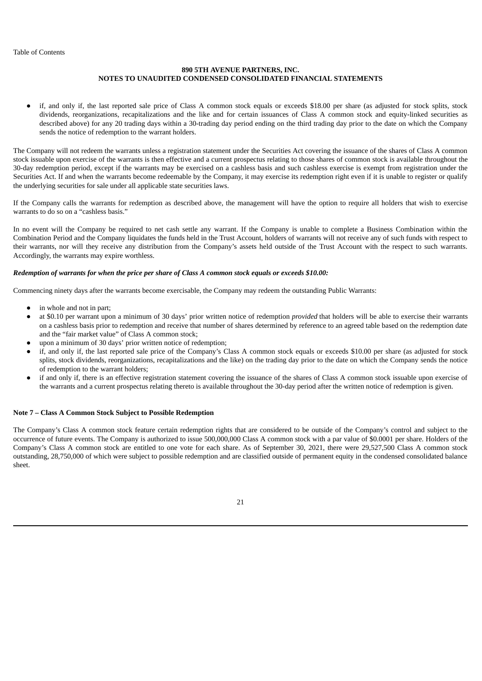if, and only if, the last reported sale price of Class A common stock equals or exceeds \$18.00 per share (as adjusted for stock splits, stock dividends, reorganizations, recapitalizations and the like and for certain issuances of Class A common stock and equity-linked securities as described above) for any 20 trading days within a 30-trading day period ending on the third trading day prior to the date on which the Company sends the notice of redemption to the warrant holders.

The Company will not redeem the warrants unless a registration statement under the Securities Act covering the issuance of the shares of Class A common stock issuable upon exercise of the warrants is then effective and a current prospectus relating to those shares of common stock is available throughout the 30-day redemption period, except if the warrants may be exercised on a cashless basis and such cashless exercise is exempt from registration under the Securities Act. If and when the warrants become redeemable by the Company, it may exercise its redemption right even if it is unable to register or qualify the underlying securities for sale under all applicable state securities laws.

If the Company calls the warrants for redemption as described above, the management will have the option to require all holders that wish to exercise warrants to do so on a "cashless basis."

In no event will the Company be required to net cash settle any warrant. If the Company is unable to complete a Business Combination within the Combination Period and the Company liquidates the funds held in the Trust Account, holders of warrants will not receive any of such funds with respect to their warrants, nor will they receive any distribution from the Company's assets held outside of the Trust Account with the respect to such warrants. Accordingly, the warrants may expire worthless.

#### Redemption of warrants for when the price per share of Class A common stock equals or exceeds \$10.00:

Commencing ninety days after the warrants become exercisable, the Company may redeem the outstanding Public Warrants:

- in whole and not in part;
- at \$0.10 per warrant upon a minimum of 30 days' prior written notice of redemption *provided* that holders will be able to exercise their warrants on a cashless basis prior to redemption and receive that number of shares determined by reference to an agreed table based on the redemption date and the "fair market value" of Class A common stock;
- upon a minimum of 30 days' prior written notice of redemption;
- if, and only if, the last reported sale price of the Company's Class A common stock equals or exceeds \$10.00 per share (as adjusted for stock splits, stock dividends, reorganizations, recapitalizations and the like) on the trading day prior to the date on which the Company sends the notice of redemption to the warrant holders;
- if and only if, there is an effective registration statement covering the issuance of the shares of Class A common stock issuable upon exercise of the warrants and a current prospectus relating thereto is available throughout the 30-day period after the written notice of redemption is given.

# **Note 7 – Class A Common Stock Subject to Possible Redemption**

The Company's Class A common stock feature certain redemption rights that are considered to be outside of the Company's control and subject to the occurrence of future events. The Company is authorized to issue 500,000,000 Class A common stock with a par value of \$0.0001 per share. Holders of the Company's Class A common stock are entitled to one vote for each share. As of September 30, 2021, there were 29,527,500 Class A common stock outstanding, 28,750,000 of which were subject to possible redemption and are classified outside of permanent equity in the condensed consolidated balance sheet.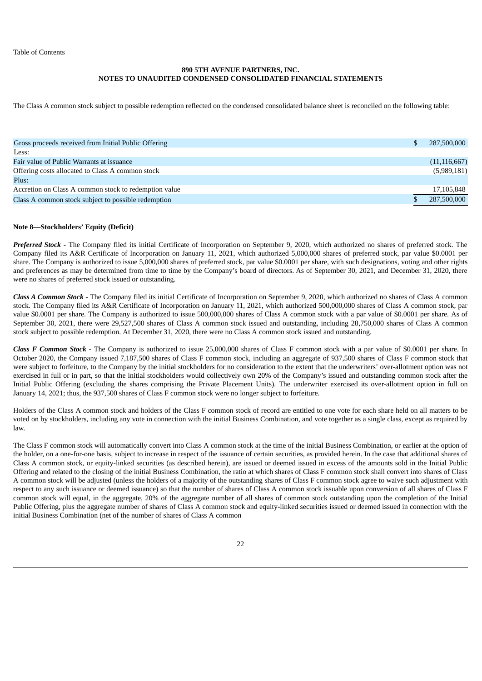The Class A common stock subject to possible redemption reflected on the condensed consolidated balance sheet is reconciled on the following table:

| Gross proceeds received from Initial Public Offering  | 287,500,000    |
|-------------------------------------------------------|----------------|
| Less:                                                 |                |
| Fair value of Public Warrants at issuance             | (11, 116, 667) |
| Offering costs allocated to Class A common stock      | (5,989,181)    |
| Plus:                                                 |                |
| Accretion on Class A common stock to redemption value | 17,105,848     |
| Class A common stock subject to possible redemption   | 287,500,000    |

#### **Note 8—Stockholders' Equity (Deficit)**

*Preferred Stock* - The Company filed its initial Certificate of Incorporation on September 9, 2020, which authorized no shares of preferred stock. The Company filed its A&R Certificate of Incorporation on January 11, 2021, which authorized 5,000,000 shares of preferred stock, par value \$0.0001 per share. The Company is authorized to issue 5,000,000 shares of preferred stock, par value \$0.0001 per share, with such designations, voting and other rights and preferences as may be determined from time to time by the Company's board of directors. As of September 30, 2021, and December 31, 2020, there were no shares of preferred stock issued or outstanding.

*Class A Common Stock* - The Company filed its initial Certificate of Incorporation on September 9, 2020, which authorized no shares of Class A common stock. The Company filed its A&R Certificate of Incorporation on January 11, 2021, which authorized 500,000,000 shares of Class A common stock, par value \$0.0001 per share. The Company is authorized to issue 500,000,000 shares of Class A common stock with a par value of \$0.0001 per share. As of September 30, 2021, there were 29,527,500 shares of Class A common stock issued and outstanding, including 28,750,000 shares of Class A common stock subject to possible redemption. At December 31, 2020, there were no Class A common stock issued and outstanding.

*Class F Common Stock -* The Company is authorized to issue 25,000,000 shares of Class F common stock with a par value of \$0.0001 per share. In October 2020, the Company issued 7,187,500 shares of Class F common stock, including an aggregate of 937,500 shares of Class F common stock that were subject to forfeiture, to the Company by the initial stockholders for no consideration to the extent that the underwriters' over-allotment option was not exercised in full or in part, so that the initial stockholders would collectively own 20% of the Company's issued and outstanding common stock after the Initial Public Offering (excluding the shares comprising the Private Placement Units). The underwriter exercised its over-allotment option in full on January 14, 2021; thus, the 937,500 shares of Class F common stock were no longer subject to forfeiture.

Holders of the Class A common stock and holders of the Class F common stock of record are entitled to one vote for each share held on all matters to be voted on by stockholders, including any vote in connection with the initial Business Combination, and vote together as a single class, except as required by law.

The Class F common stock will automatically convert into Class A common stock at the time of the initial Business Combination, or earlier at the option of the holder, on a one-for-one basis, subject to increase in respect of the issuance of certain securities, as provided herein. In the case that additional shares of Class A common stock, or equity-linked securities (as described herein), are issued or deemed issued in excess of the amounts sold in the Initial Public Offering and related to the closing of the initial Business Combination, the ratio at which shares of Class F common stock shall convert into shares of Class A common stock will be adjusted (unless the holders of a majority of the outstanding shares of Class F common stock agree to waive such adjustment with respect to any such issuance or deemed issuance) so that the number of shares of Class A common stock issuable upon conversion of all shares of Class F common stock will equal, in the aggregate, 20% of the aggregate number of all shares of common stock outstanding upon the completion of the Initial Public Offering, plus the aggregate number of shares of Class A common stock and equity-linked securities issued or deemed issued in connection with the initial Business Combination (net of the number of shares of Class A common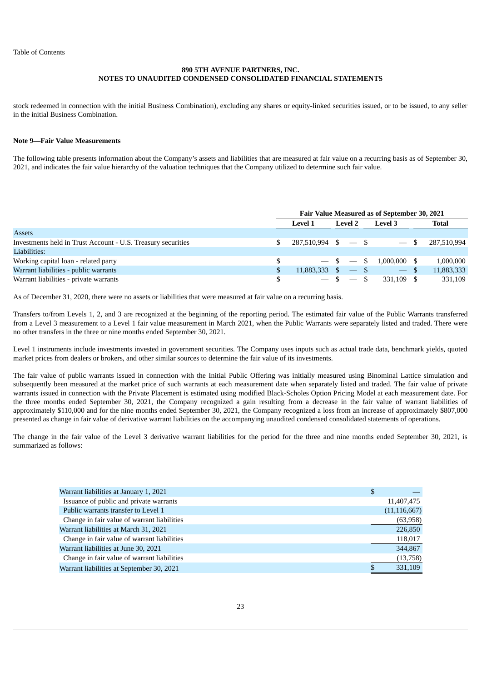stock redeemed in connection with the initial Business Combination), excluding any shares or equity-linked securities issued, or to be issued, to any seller in the initial Business Combination.

## **Note 9—Fair Value Measurements**

The following table presents information about the Company's assets and liabilities that are measured at fair value on a recurring basis as of September 30, 2021, and indicates the fair value hierarchy of the valuation techniques that the Company utilized to determine such fair value.

|                                                              | <b>Fair Value Measured as of September 30, 2021</b> |                         |  |                |  |                |             |
|--------------------------------------------------------------|-----------------------------------------------------|-------------------------|--|----------------|--|----------------|-------------|
|                                                              |                                                     | <b>Level 1</b>          |  | <b>Level 2</b> |  | <b>Level</b> 3 | Total       |
| <b>Assets</b>                                                |                                                     |                         |  |                |  |                |             |
| Investments held in Trust Account - U.S. Treasury securities |                                                     | $287.510.994$ \$ $-$ \$ |  |                |  | $-$ \$         | 287.510.994 |
| Liabilities:                                                 |                                                     |                         |  |                |  |                |             |
| Working capital loan - related party                         |                                                     |                         |  | $-$ \$ $-$ \$  |  | $1.000.000$ \$ | 1,000,000   |
| Warrant liabilities - public warrants                        |                                                     | $11,883,333$ \$         |  | $-$ \$         |  | $-$ \$         | 11,883,333  |
| Warrant liabilities - private warrants                       |                                                     |                         |  | $-$ \$         |  | 331.109 \$     | 331,109     |

As of December 31, 2020, there were no assets or liabilities that were measured at fair value on a recurring basis.

Transfers to/from Levels 1, 2, and 3 are recognized at the beginning of the reporting period. The estimated fair value of the Public Warrants transferred from a Level 3 measurement to a Level 1 fair value measurement in March 2021, when the Public Warrants were separately listed and traded. There were no other transfers in the three or nine months ended September 30, 2021.

Level 1 instruments include investments invested in government securities. The Company uses inputs such as actual trade data, benchmark yields, quoted market prices from dealers or brokers, and other similar sources to determine the fair value of its investments.

The fair value of public warrants issued in connection with the Initial Public Offering was initially measured using Binominal Lattice simulation and subsequently been measured at the market price of such warrants at each measurement date when separately listed and traded. The fair value of private warrants issued in connection with the Private Placement is estimated using modified Black-Scholes Option Pricing Model at each measurement date. For the three months ended September 30, 2021, the Company recognized a gain resulting from a decrease in the fair value of warrant liabilities of approximately \$110,000 and for the nine months ended September 30, 2021, the Company recognized a loss from an increase of approximately \$807,000 presented as change in fair value of derivative warrant liabilities on the accompanying unaudited condensed consolidated statements of operations.

The change in the fair value of the Level 3 derivative warrant liabilities for the period for the three and nine months ended September 30, 2021, is summarized as follows:

| Warrant liabilities at January 1, 2021      | \$             |
|---------------------------------------------|----------------|
| Issuance of public and private warrants     | 11,407,475     |
| Public warrants transfer to Level 1         | (11, 116, 667) |
| Change in fair value of warrant liabilities | (63,958)       |
| Warrant liabilities at March 31, 2021       | 226,850        |
| Change in fair value of warrant liabilities | 118,017        |
| Warrant liabilities at June 30, 2021        | 344,867        |
| Change in fair value of warrant liabilities | (13,758)       |
| Warrant liabilities at September 30, 2021   | 331,109        |
|                                             |                |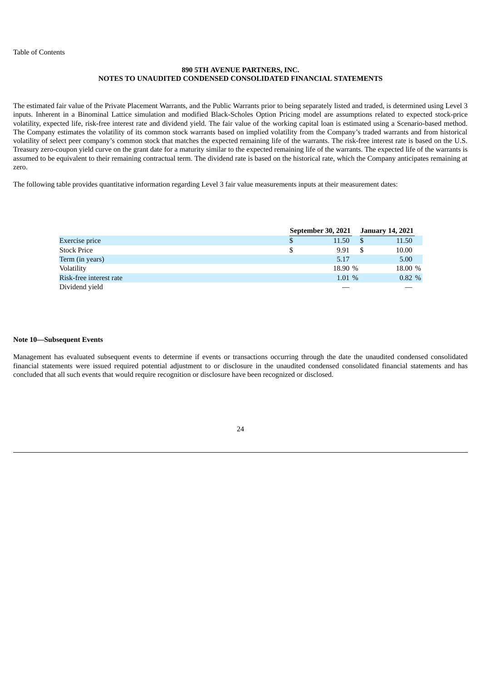The estimated fair value of the Private Placement Warrants, and the Public Warrants prior to being separately listed and traded, is determined using Level 3 inputs. Inherent in a Binominal Lattice simulation and modified Black-Scholes Option Pricing model are assumptions related to expected stock-price volatility, expected life, risk-free interest rate and dividend yield. The fair value of the working capital loan is estimated using a Scenario-based method. The Company estimates the volatility of its common stock warrants based on implied volatility from the Company's traded warrants and from historical volatility of select peer company's common stock that matches the expected remaining life of the warrants. The risk-free interest rate is based on the U.S. Treasury zero-coupon yield curve on the grant date for a maturity similar to the expected remaining life of the warrants. The expected life of the warrants is assumed to be equivalent to their remaining contractual term. The dividend rate is based on the historical rate, which the Company anticipates remaining at zero.

The following table provides quantitative information regarding Level 3 fair value measurements inputs at their measurement dates:

|                         | <b>September 30, 2021</b> |         |     | January 14, 2021 |
|-------------------------|---------------------------|---------|-----|------------------|
| Exercise price          | \$                        | 11.50   | S   | 11.50            |
| <b>Stock Price</b>      |                           | 9.91    | \$. | 10.00            |
| Term (in years)         |                           | 5.17    |     | 5.00             |
| Volatility              |                           | 18.90 % |     | 18.00 %          |
| Risk-free interest rate |                           | 1.01%   |     | 0.82%            |
| Dividend yield          |                           |         |     |                  |

#### **Note 10—Subsequent Events**

Management has evaluated subsequent events to determine if events or transactions occurring through the date the unaudited condensed consolidated financial statements were issued required potential adjustment to or disclosure in the unaudited condensed consolidated financial statements and has concluded that all such events that would require recognition or disclosure have been recognized or disclosed.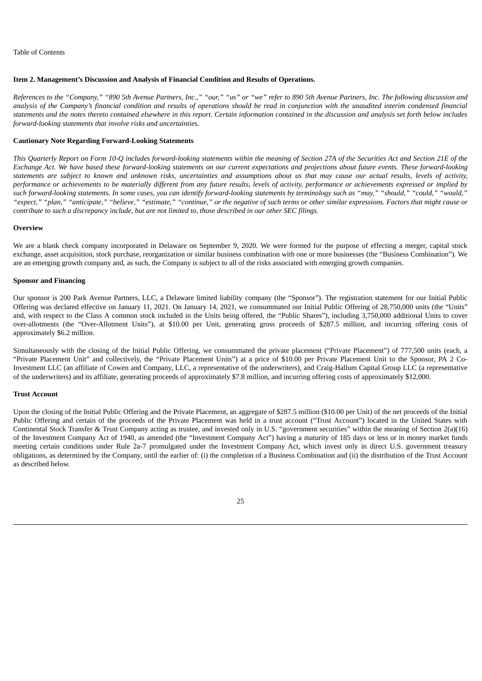#### **Item 2. Management's Discussion and Analysis of Financial Condition and Results of Operations.**

References to the "Company," "890 5th Avenue Partners, Inc.," "our," "us" or "we" refer to 890 5th Avenue Partners, Inc. The following discussion and analysis of the Company's financial condition and results of operations should be read in conjunction with the unaudited interim condensed financial statements and the notes thereto contained elsewhere in this report. Certain information contained in the discussion and analysis set forth below includes *forward-looking statements that involve risks and uncertainties.*

#### **Cautionary Note Regarding Forward-Looking Statements**

This Quarterly Report on Form 10-Q includes forward-looking statements within the meaning of Section 27A of the Securities Act and Section 21E of the Exchange Act. We have based these forward-looking statements on our current expectations and projections about future events. These forward-looking statements are subject to known and unknown risks, uncertainties and assumptions about us that may cause our actual results, levels of activity, performance or achievements to be materially different from any future results, levels of activity, performance or achievements expressed or implied by such forward-looking statements. In some cases, you can identify forward-looking statements by terminology such as "may," "should," "could," "would," "expect," "plan," "anticipate," "believe," "estimate," "continue," or the negative of such terms or other similar expressions. Factors that might cause or contribute to such a discrepancy include, but are not limited to, those described in our other SEC filings.

#### **Overview**

We are a blank check company incorporated in Delaware on September 9, 2020. We were formed for the purpose of effecting a merger, capital stock exchange, asset acquisition, stock purchase, reorganization or similar business combination with one or more businesses (the "Business Combination"). We are an emerging growth company and, as such, the Company is subject to all of the risks associated with emerging growth companies.

#### **Sponsor and Financing**

Our sponsor is 200 Park Avenue Partners, LLC, a Delaware limited liability company (the "Sponsor"). The registration statement for our Initial Public Offering was declared effective on January 11, 2021. On January 14, 2021, we consummated our Initial Public Offering of 28,750,000 units (the "Units" and, with respect to the Class A common stock included in the Units being offered, the "Public Shares"), including 3,750,000 additional Units to cover over-allotments (the "Over-Allotment Units"), at \$10.00 per Unit, generating gross proceeds of \$287.5 million, and incurring offering costs of approximately \$6.2 million.

Simultaneously with the closing of the Initial Public Offering, we consummated the private placement ("Private Placement") of 777,500 units (each, a "Private Placement Unit" and collectively, the "Private Placement Units") at a price of \$10.00 per Private Placement Unit to the Sponsor, PA 2 Co-Investment LLC (an affiliate of Cowen and Company, LLC, a representative of the underwriters), and Craig-Hallum Capital Group LLC (a representative of the underwriters) and its affiliate, generating proceeds of approximately \$7.8 million, and incurring offering costs of approximately \$12,000.

#### **Trust Account**

Upon the closing of the Initial Public Offering and the Private Placement, an aggregate of \$287.5 million (\$10.00 per Unit) of the net proceeds of the Initial Public Offering and certain of the proceeds of the Private Placement was held in a trust account ("Trust Account") located in the United States with Continental Stock Transfer & Trust Company acting as trustee, and invested only in U.S. "government securities" within the meaning of Section 2(a)(16) of the Investment Company Act of 1940, as amended (the "Investment Company Act") having a maturity of 185 days or less or in money market funds meeting certain conditions under Rule 2a-7 promulgated under the Investment Company Act, which invest only in direct U.S. government treasury obligations, as determined by the Company, until the earlier of: (i) the completion of a Business Combination and (ii) the distribution of the Trust Account as described below.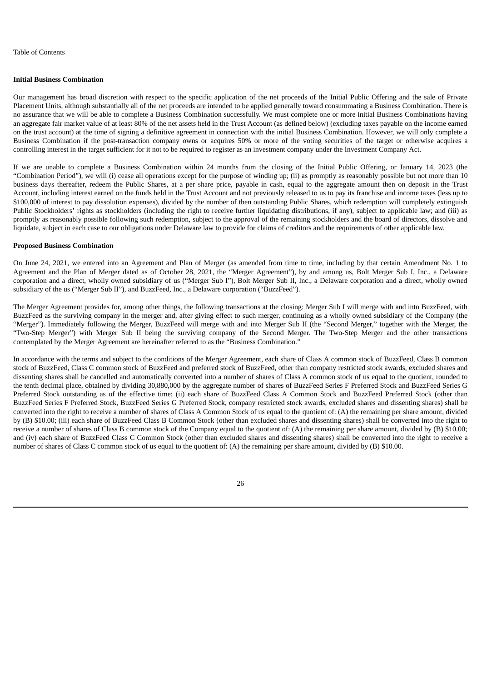#### **Initial Business Combination**

Our management has broad discretion with respect to the specific application of the net proceeds of the Initial Public Offering and the sale of Private Placement Units, although substantially all of the net proceeds are intended to be applied generally toward consummating a Business Combination. There is no assurance that we will be able to complete a Business Combination successfully. We must complete one or more initial Business Combinations having an aggregate fair market value of at least 80% of the net assets held in the Trust Account (as defined below) (excluding taxes payable on the income earned on the trust account) at the time of signing a definitive agreement in connection with the initial Business Combination. However, we will only complete a Business Combination if the post-transaction company owns or acquires 50% or more of the voting securities of the target or otherwise acquires a controlling interest in the target sufficient for it not to be required to register as an investment company under the Investment Company Act.

If we are unable to complete a Business Combination within 24 months from the closing of the Initial Public Offering, or January 14, 2023 (the "Combination Period"), we will (i) cease all operations except for the purpose of winding up; (ii) as promptly as reasonably possible but not more than 10 business days thereafter, redeem the Public Shares, at a per share price, payable in cash, equal to the aggregate amount then on deposit in the Trust Account, including interest earned on the funds held in the Trust Account and not previously released to us to pay its franchise and income taxes (less up to \$100,000 of interest to pay dissolution expenses), divided by the number of then outstanding Public Shares, which redemption will completely extinguish Public Stockholders' rights as stockholders (including the right to receive further liquidating distributions, if any), subject to applicable law; and (iii) as promptly as reasonably possible following such redemption, subject to the approval of the remaining stockholders and the board of directors, dissolve and liquidate, subject in each case to our obligations under Delaware law to provide for claims of creditors and the requirements of other applicable law.

#### **Proposed Business Combination**

On June 24, 2021, we entered into an Agreement and Plan of Merger (as amended from time to time, including by that certain Amendment No. 1 to Agreement and the Plan of Merger dated as of October 28, 2021, the "Merger Agreement"), by and among us, Bolt Merger Sub I, Inc., a Delaware corporation and a direct, wholly owned subsidiary of us ("Merger Sub I"), Bolt Merger Sub II, Inc., a Delaware corporation and a direct, wholly owned subsidiary of the us ("Merger Sub II"), and BuzzFeed, Inc., a Delaware corporation ("BuzzFeed").

The Merger Agreement provides for, among other things, the following transactions at the closing: Merger Sub I will merge with and into BuzzFeed, with BuzzFeed as the surviving company in the merger and, after giving effect to such merger, continuing as a wholly owned subsidiary of the Company (the "Merger"). Immediately following the Merger, BuzzFeed will merge with and into Merger Sub II (the "Second Merger," together with the Merger, the "Two-Step Merger") with Merger Sub II being the surviving company of the Second Merger. The Two-Step Merger and the other transactions contemplated by the Merger Agreement are hereinafter referred to as the "Business Combination."

In accordance with the terms and subject to the conditions of the Merger Agreement, each share of Class A common stock of BuzzFeed, Class B common stock of BuzzFeed, Class C common stock of BuzzFeed and preferred stock of BuzzFeed, other than company restricted stock awards, excluded shares and dissenting shares shall be cancelled and automatically converted into a number of shares of Class A common stock of us equal to the quotient, rounded to the tenth decimal place, obtained by dividing 30,880,000 by the aggregate number of shares of BuzzFeed Series F Preferred Stock and BuzzFeed Series G Preferred Stock outstanding as of the effective time; (ii) each share of BuzzFeed Class A Common Stock and BuzzFeed Preferred Stock (other than BuzzFeed Series F Preferred Stock, BuzzFeed Series G Preferred Stock, company restricted stock awards, excluded shares and dissenting shares) shall be converted into the right to receive a number of shares of Class A Common Stock of us equal to the quotient of: (A) the remaining per share amount, divided by (B) \$10.00; (iii) each share of BuzzFeed Class B Common Stock (other than excluded shares and dissenting shares) shall be converted into the right to receive a number of shares of Class B common stock of the Company equal to the quotient of: (A) the remaining per share amount, divided by (B) \$10.00; and (iv) each share of BuzzFeed Class C Common Stock (other than excluded shares and dissenting shares) shall be converted into the right to receive a number of shares of Class C common stock of us equal to the quotient of: (A) the remaining per share amount, divided by (B) \$10.00.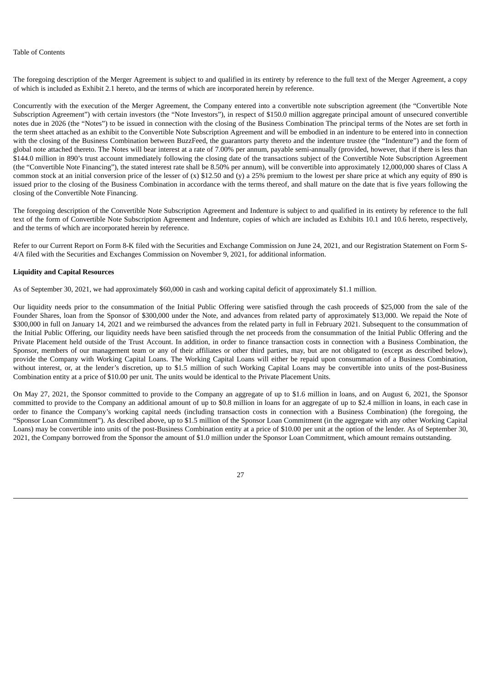The foregoing description of the Merger Agreement is subject to and qualified in its entirety by reference to the full text of the Merger Agreement, a copy of which is included as Exhibit 2.1 hereto, and the terms of which are incorporated herein by reference.

Concurrently with the execution of the Merger Agreement, the Company entered into a convertible note subscription agreement (the "Convertible Note Subscription Agreement") with certain investors (the "Note Investors"), in respect of \$150.0 million aggregate principal amount of unsecured convertible notes due in 2026 (the "Notes") to be issued in connection with the closing of the Business Combination The principal terms of the Notes are set forth in the term sheet attached as an exhibit to the Convertible Note Subscription Agreement and will be embodied in an indenture to be entered into in connection with the closing of the Business Combination between BuzzFeed, the guarantors party thereto and the indenture trustee (the "Indenture") and the form of global note attached thereto. The Notes will bear interest at a rate of 7.00% per annum, payable semi-annually (provided, however, that if there is less than \$144.0 million in 890's trust account immediately following the closing date of the transactions subject of the Convertible Note Subscription Agreement (the "Convertible Note Financing"), the stated interest rate shall be 8.50% per annum), will be convertible into approximately 12,000,000 shares of Class A common stock at an initial conversion price of the lesser of (x) \$12.50 and (y) a 25% premium to the lowest per share price at which any equity of 890 is issued prior to the closing of the Business Combination in accordance with the terms thereof, and shall mature on the date that is five years following the closing of the Convertible Note Financing.

The foregoing description of the Convertible Note Subscription Agreement and Indenture is subject to and qualified in its entirety by reference to the full text of the form of Convertible Note Subscription Agreement and Indenture, copies of which are included as Exhibits 10.1 and 10.6 hereto, respectively, and the terms of which are incorporated herein by reference.

Refer to our Current Report on Form 8-K filed with the Securities and Exchange Commission on June 24, 2021, and our Registration Statement on Form S-4/A filed with the Securities and Exchanges Commission on November 9, 2021, for additional information.

#### **Liquidity and Capital Resources**

As of September 30, 2021, we had approximately \$60,000 in cash and working capital deficit of approximately \$1.1 million.

Our liquidity needs prior to the consummation of the Initial Public Offering were satisfied through the cash proceeds of \$25,000 from the sale of the Founder Shares, loan from the Sponsor of \$300,000 under the Note, and advances from related party of approximately \$13,000. We repaid the Note of \$300,000 in full on January 14, 2021 and we reimbursed the advances from the related party in full in February 2021. Subsequent to the consummation of the Initial Public Offering, our liquidity needs have been satisfied through the net proceeds from the consummation of the Initial Public Offering and the Private Placement held outside of the Trust Account. In addition, in order to finance transaction costs in connection with a Business Combination, the Sponsor, members of our management team or any of their affiliates or other third parties, may, but are not obligated to (except as described below), provide the Company with Working Capital Loans. The Working Capital Loans will either be repaid upon consummation of a Business Combination, without interest, or, at the lender's discretion, up to \$1.5 million of such Working Capital Loans may be convertible into units of the post-Business Combination entity at a price of \$10.00 per unit. The units would be identical to the Private Placement Units.

On May 27, 2021, the Sponsor committed to provide to the Company an aggregate of up to \$1.6 million in loans, and on August 6, 2021, the Sponsor committed to provide to the Company an additional amount of up to \$0.8 million in loans for an aggregate of up to \$2.4 million in loans, in each case in order to finance the Company's working capital needs (including transaction costs in connection with a Business Combination) (the foregoing, the "Sponsor Loan Commitment"). As described above, up to \$1.5 million of the Sponsor Loan Commitment (in the aggregate with any other Working Capital Loans) may be convertible into units of the post-Business Combination entity at a price of \$10.00 per unit at the option of the lender. As of September 30, 2021, the Company borrowed from the Sponsor the amount of \$1.0 million under the Sponsor Loan Commitment, which amount remains outstanding.

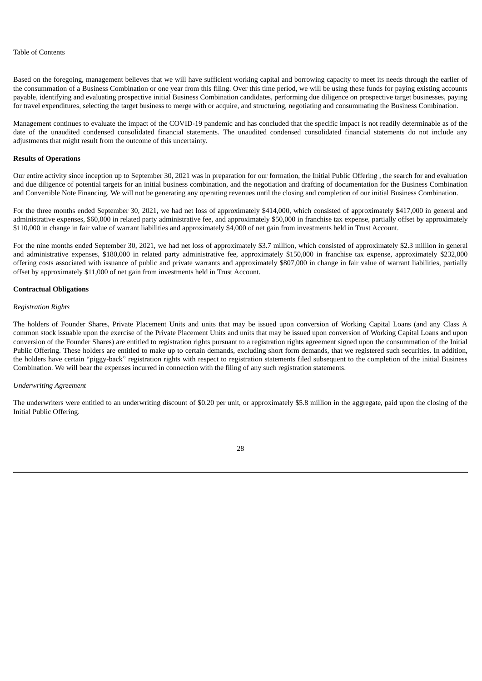Based on the foregoing, management believes that we will have sufficient working capital and borrowing capacity to meet its needs through the earlier of the consummation of a Business Combination or one year from this filing. Over this time period, we will be using these funds for paying existing accounts payable, identifying and evaluating prospective initial Business Combination candidates, performing due diligence on prospective target businesses, paying for travel expenditures, selecting the target business to merge with or acquire, and structuring, negotiating and consummating the Business Combination.

Management continues to evaluate the impact of the COVID-19 pandemic and has concluded that the specific impact is not readily determinable as of the date of the unaudited condensed consolidated financial statements. The unaudited condensed consolidated financial statements do not include any adjustments that might result from the outcome of this uncertainty.

#### **Results of Operations**

Our entire activity since inception up to September 30, 2021 was in preparation for our formation, the Initial Public Offering , the search for and evaluation and due diligence of potential targets for an initial business combination, and the negotiation and drafting of documentation for the Business Combination and Convertible Note Financing. We will not be generating any operating revenues until the closing and completion of our initial Business Combination.

For the three months ended September 30, 2021, we had net loss of approximately \$414,000, which consisted of approximately \$417,000 in general and administrative expenses, \$60,000 in related party administrative fee, and approximately \$50,000 in franchise tax expense, partially offset by approximately \$110,000 in change in fair value of warrant liabilities and approximately \$4,000 of net gain from investments held in Trust Account.

For the nine months ended September 30, 2021, we had net loss of approximately \$3.7 million, which consisted of approximately \$2.3 million in general and administrative expenses, \$180,000 in related party administrative fee, approximately \$150,000 in franchise tax expense, approximately \$232,000 offering costs associated with issuance of public and private warrants and approximately \$807,000 in change in fair value of warrant liabilities, partially offset by approximately \$11,000 of net gain from investments held in Trust Account.

#### **Contractual Obligations**

#### *Registration Rights*

The holders of Founder Shares, Private Placement Units and units that may be issued upon conversion of Working Capital Loans (and any Class A common stock issuable upon the exercise of the Private Placement Units and units that may be issued upon conversion of Working Capital Loans and upon conversion of the Founder Shares) are entitled to registration rights pursuant to a registration rights agreement signed upon the consummation of the Initial Public Offering. These holders are entitled to make up to certain demands, excluding short form demands, that we registered such securities. In addition, the holders have certain "piggy-back" registration rights with respect to registration statements filed subsequent to the completion of the initial Business Combination. We will bear the expenses incurred in connection with the filing of any such registration statements.

#### *Underwriting Agreement*

The underwriters were entitled to an underwriting discount of \$0.20 per unit, or approximately \$5.8 million in the aggregate, paid upon the closing of the Initial Public Offering.

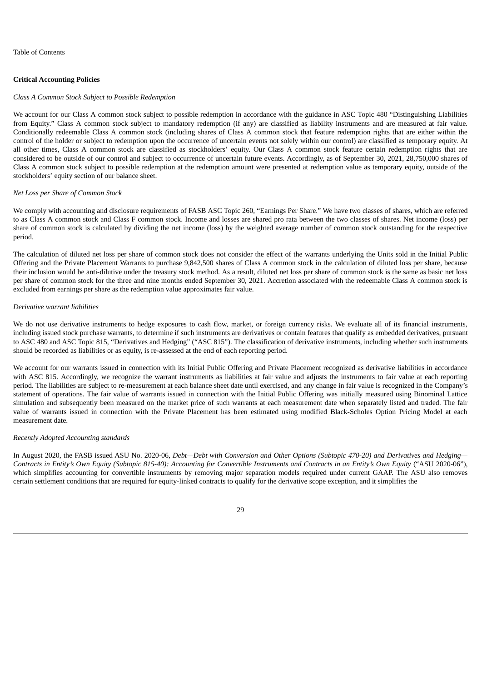# **Critical Accounting Policies**

#### *Class A Common Stock Subject to Possible Redemption*

We account for our Class A common stock subject to possible redemption in accordance with the guidance in ASC Topic 480 "Distinguishing Liabilities from Equity." Class A common stock subject to mandatory redemption (if any) are classified as liability instruments and are measured at fair value. Conditionally redeemable Class A common stock (including shares of Class A common stock that feature redemption rights that are either within the control of the holder or subject to redemption upon the occurrence of uncertain events not solely within our control) are classified as temporary equity. At all other times, Class A common stock are classified as stockholders' equity. Our Class A common stock feature certain redemption rights that are considered to be outside of our control and subject to occurrence of uncertain future events. Accordingly, as of September 30, 2021, 28,750,000 shares of Class A common stock subject to possible redemption at the redemption amount were presented at redemption value as temporary equity, outside of the stockholders' equity section of our balance sheet.

# *Net Loss per Share of Common Stock*

We comply with accounting and disclosure requirements of FASB ASC Topic 260, "Earnings Per Share." We have two classes of shares, which are referred to as Class A common stock and Class F common stock. Income and losses are shared pro rata between the two classes of shares. Net income (loss) per share of common stock is calculated by dividing the net income (loss) by the weighted average number of common stock outstanding for the respective period.

The calculation of diluted net loss per share of common stock does not consider the effect of the warrants underlying the Units sold in the Initial Public Offering and the Private Placement Warrants to purchase 9,842,500 shares of Class A common stock in the calculation of diluted loss per share, because their inclusion would be anti-dilutive under the treasury stock method. As a result, diluted net loss per share of common stock is the same as basic net loss per share of common stock for the three and nine months ended September 30, 2021. Accretion associated with the redeemable Class A common stock is excluded from earnings per share as the redemption value approximates fair value.

#### *Derivative warrant liabilities*

We do not use derivative instruments to hedge exposures to cash flow, market, or foreign currency risks. We evaluate all of its financial instruments, including issued stock purchase warrants, to determine if such instruments are derivatives or contain features that qualify as embedded derivatives, pursuant to ASC 480 and ASC Topic 815, "Derivatives and Hedging" ("ASC 815"). The classification of derivative instruments, including whether such instruments should be recorded as liabilities or as equity, is re-assessed at the end of each reporting period.

We account for our warrants issued in connection with its Initial Public Offering and Private Placement recognized as derivative liabilities in accordance with ASC 815. Accordingly, we recognize the warrant instruments as liabilities at fair value and adjusts the instruments to fair value at each reporting period. The liabilities are subject to re-measurement at each balance sheet date until exercised, and any change in fair value is recognized in the Company's statement of operations. The fair value of warrants issued in connection with the Initial Public Offering was initially measured using Binominal Lattice simulation and subsequently been measured on the market price of such warrants at each measurement date when separately listed and traded. The fair value of warrants issued in connection with the Private Placement has been estimated using modified Black-Scholes Option Pricing Model at each measurement date.

# *Recently Adopted Accounting standards*

In August 2020, the FASB issued ASU No. 2020-06, *Debt—Debt with Conversion and Other Options (Subtopic 470-20) and Derivatives and Hedging—* Contracts in Entity's Own Equity (Subtopic 815-40): Accounting for Convertible Instruments and Contracts in an Entity's Own Equity ("ASU 2020-06"), which simplifies accounting for convertible instruments by removing major separation models required under current GAAP. The ASU also removes certain settlement conditions that are required for equity-linked contracts to qualify for the derivative scope exception, and it simplifies the

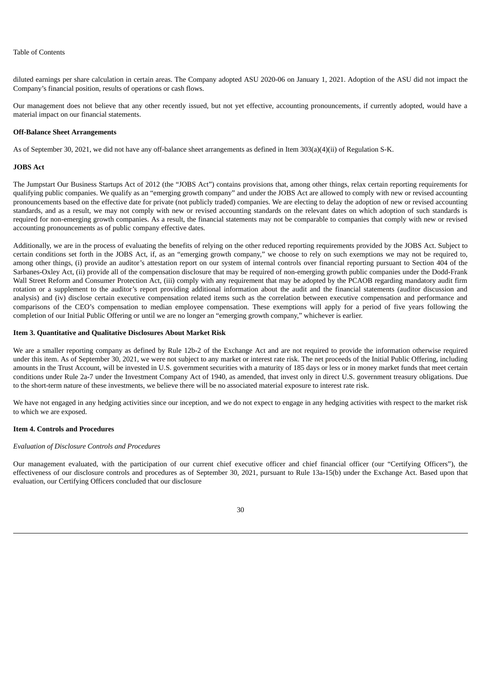diluted earnings per share calculation in certain areas. The Company adopted ASU 2020-06 on January 1, 2021. Adoption of the ASU did not impact the Company's financial position, results of operations or cash flows.

Our management does not believe that any other recently issued, but not yet effective, accounting pronouncements, if currently adopted, would have a material impact on our financial statements.

#### **Off-Balance Sheet Arrangements**

As of September 30, 2021, we did not have any off-balance sheet arrangements as defined in Item 303(a)(4)(ii) of Regulation S-K.

#### **JOBS Act**

The Jumpstart Our Business Startups Act of 2012 (the "JOBS Act") contains provisions that, among other things, relax certain reporting requirements for qualifying public companies. We qualify as an "emerging growth company" and under the JOBS Act are allowed to comply with new or revised accounting pronouncements based on the effective date for private (not publicly traded) companies. We are electing to delay the adoption of new or revised accounting standards, and as a result, we may not comply with new or revised accounting standards on the relevant dates on which adoption of such standards is required for non-emerging growth companies. As a result, the financial statements may not be comparable to companies that comply with new or revised accounting pronouncements as of public company effective dates.

Additionally, we are in the process of evaluating the benefits of relying on the other reduced reporting requirements provided by the JOBS Act. Subject to certain conditions set forth in the JOBS Act, if, as an "emerging growth company," we choose to rely on such exemptions we may not be required to, among other things, (i) provide an auditor's attestation report on our system of internal controls over financial reporting pursuant to Section 404 of the Sarbanes-Oxley Act, (ii) provide all of the compensation disclosure that may be required of non-emerging growth public companies under the Dodd-Frank Wall Street Reform and Consumer Protection Act, (iii) comply with any requirement that may be adopted by the PCAOB regarding mandatory audit firm rotation or a supplement to the auditor's report providing additional information about the audit and the financial statements (auditor discussion and analysis) and (iv) disclose certain executive compensation related items such as the correlation between executive compensation and performance and comparisons of the CEO's compensation to median employee compensation. These exemptions will apply for a period of five years following the completion of our Initial Public Offering or until we are no longer an "emerging growth company," whichever is earlier.

#### **Item 3. Quantitative and Qualitative Disclosures About Market Risk**

We are a smaller reporting company as defined by Rule 12b-2 of the Exchange Act and are not required to provide the information otherwise required under this item. As of September 30, 2021, we were not subject to any market or interest rate risk. The net proceeds of the Initial Public Offering, including amounts in the Trust Account, will be invested in U.S. government securities with a maturity of 185 days or less or in money market funds that meet certain conditions under Rule 2a-7 under the Investment Company Act of 1940, as amended, that invest only in direct U.S. government treasury obligations. Due to the short-term nature of these investments, we believe there will be no associated material exposure to interest rate risk.

We have not engaged in any hedging activities since our inception, and we do not expect to engage in any hedging activities with respect to the market risk to which we are exposed.

## **Item 4. Controls and Procedures**

## *Evaluation of Disclosure Controls and Procedures*

Our management evaluated, with the participation of our current chief executive officer and chief financial officer (our "Certifying Officers"), the effectiveness of our disclosure controls and procedures as of September 30, 2021, pursuant to Rule 13a-15(b) under the Exchange Act. Based upon that evaluation, our Certifying Officers concluded that our disclosure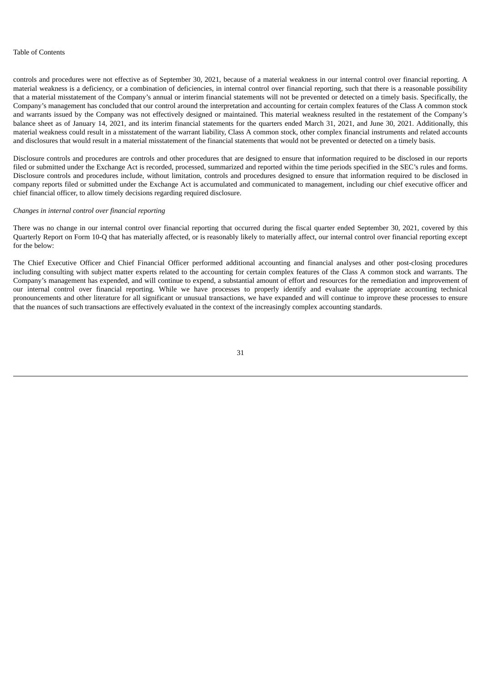controls and procedures were not effective as of September 30, 2021, because of a material weakness in our internal control over financial reporting. A material weakness is a deficiency, or a combination of deficiencies, in internal control over financial reporting, such that there is a reasonable possibility that a material misstatement of the Company's annual or interim financial statements will not be prevented or detected on a timely basis. Specifically, the Company's management has concluded that our control around the interpretation and accounting for certain complex features of the Class A common stock and warrants issued by the Company was not effectively designed or maintained. This material weakness resulted in the restatement of the Company's balance sheet as of January 14, 2021, and its interim financial statements for the quarters ended March 31, 2021, and June 30, 2021. Additionally, this material weakness could result in a misstatement of the warrant liability, Class A common stock, other complex financial instruments and related accounts and disclosures that would result in a material misstatement of the financial statements that would not be prevented or detected on a timely basis.

Disclosure controls and procedures are controls and other procedures that are designed to ensure that information required to be disclosed in our reports filed or submitted under the Exchange Act is recorded, processed, summarized and reported within the time periods specified in the SEC's rules and forms. Disclosure controls and procedures include, without limitation, controls and procedures designed to ensure that information required to be disclosed in company reports filed or submitted under the Exchange Act is accumulated and communicated to management, including our chief executive officer and chief financial officer, to allow timely decisions regarding required disclosure.

#### *Changes in internal control over financial reporting*

There was no change in our internal control over financial reporting that occurred during the fiscal quarter ended September 30, 2021, covered by this Quarterly Report on Form 10-Q that has materially affected, or is reasonably likely to materially affect, our internal control over financial reporting except for the below:

The Chief Executive Officer and Chief Financial Officer performed additional accounting and financial analyses and other post-closing procedures including consulting with subject matter experts related to the accounting for certain complex features of the Class A common stock and warrants. The Company's management has expended, and will continue to expend, a substantial amount of effort and resources for the remediation and improvement of our internal control over financial reporting. While we have processes to properly identify and evaluate the appropriate accounting technical pronouncements and other literature for all significant or unusual transactions, we have expanded and will continue to improve these processes to ensure that the nuances of such transactions are effectively evaluated in the context of the increasingly complex accounting standards.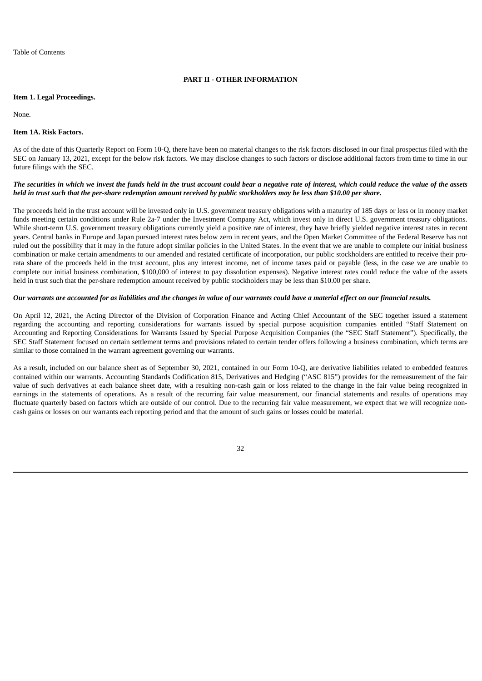#### **PART II - OTHER INFORMATION**

#### **Item 1. Legal Proceedings.**

None.

## **Item 1A. Risk Factors.**

As of the date of this Quarterly Report on Form 10-Q, there have been no material changes to the risk factors disclosed in our final prospectus filed with the SEC on January 13, 2021, except for the below risk factors. We may disclose changes to such factors or disclose additional factors from time to time in our future filings with the SEC.

## The securities in which we invest the funds held in the trust account could bear a negative rate of interest, which could reduce the value of the assets held in trust such that the per-share redemption amount received by public stockholders may be less than \$10.00 per share.

The proceeds held in the trust account will be invested only in U.S. government treasury obligations with a maturity of 185 days or less or in money market funds meeting certain conditions under Rule 2a-7 under the Investment Company Act, which invest only in direct U.S. government treasury obligations. While short-term U.S. government treasury obligations currently yield a positive rate of interest, they have briefly yielded negative interest rates in recent years. Central banks in Europe and Japan pursued interest rates below zero in recent years, and the Open Market Committee of the Federal Reserve has not ruled out the possibility that it may in the future adopt similar policies in the United States. In the event that we are unable to complete our initial business combination or make certain amendments to our amended and restated certificate of incorporation, our public stockholders are entitled to receive their prorata share of the proceeds held in the trust account, plus any interest income, net of income taxes paid or payable (less, in the case we are unable to complete our initial business combination, \$100,000 of interest to pay dissolution expenses). Negative interest rates could reduce the value of the assets held in trust such that the per-share redemption amount received by public stockholders may be less than \$10.00 per share.

#### Our warrants are accounted for as liabilities and the changes in value of our warrants could have a material effect on our financial results.

On April 12, 2021, the Acting Director of the Division of Corporation Finance and Acting Chief Accountant of the SEC together issued a statement regarding the accounting and reporting considerations for warrants issued by special purpose acquisition companies entitled "Staff Statement on Accounting and Reporting Considerations for Warrants Issued by Special Purpose Acquisition Companies (the "SEC Staff Statement"). Specifically, the SEC Staff Statement focused on certain settlement terms and provisions related to certain tender offers following a business combination, which terms are similar to those contained in the warrant agreement governing our warrants.

As a result, included on our balance sheet as of September 30, 2021, contained in our Form 10-Q, are derivative liabilities related to embedded features contained within our warrants. Accounting Standards Codification 815, Derivatives and Hedging ("ASC 815") provides for the remeasurement of the fair value of such derivatives at each balance sheet date, with a resulting non-cash gain or loss related to the change in the fair value being recognized in earnings in the statements of operations. As a result of the recurring fair value measurement, our financial statements and results of operations may fluctuate quarterly based on factors which are outside of our control. Due to the recurring fair value measurement, we expect that we will recognize noncash gains or losses on our warrants each reporting period and that the amount of such gains or losses could be material.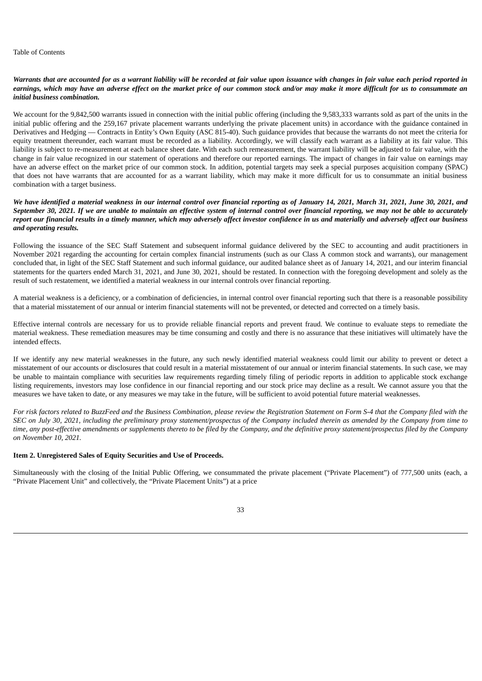## Warrants that are accounted for as a warrant liability will be recorded at fair value upon issuance with changes in fair value each period reported in earnings, which may have an adverse effect on the market price of our common stock and/or may make it more difficult for us to consummate an *initial business combination.*

We account for the 9,842,500 warrants issued in connection with the initial public offering (including the 9,583,333 warrants sold as part of the units in the initial public offering and the 259,167 private placement warrants underlying the private placement units) in accordance with the guidance contained in Derivatives and Hedging — Contracts in Entity's Own Equity (ASC 815-40). Such guidance provides that because the warrants do not meet the criteria for equity treatment thereunder, each warrant must be recorded as a liability. Accordingly, we will classify each warrant as a liability at its fair value. This liability is subject to re-measurement at each balance sheet date. With each such remeasurement, the warrant liability will be adjusted to fair value, with the change in fair value recognized in our statement of operations and therefore our reported earnings. The impact of changes in fair value on earnings may have an adverse effect on the market price of our common stock. In addition, potential targets may seek a special purposes acquisition company (SPAC) that does not have warrants that are accounted for as a warrant liability, which may make it more difficult for us to consummate an initial business combination with a target business.

We have identified a material weakness in our internal control over financial reporting as of January 14, 2021, March 31, 2021, June 30, 2021, and September 30, 2021. If we are unable to maintain an effective system of internal control over financial reporting, we may not be able to accurately report our financial results in a timely manner, which may adversely affect investor confidence in us and materially and adversely affect our business *and operating results.*

Following the issuance of the SEC Staff Statement and subsequent informal guidance delivered by the SEC to accounting and audit practitioners in November 2021 regarding the accounting for certain complex financial instruments (such as our Class A common stock and warrants), our management concluded that, in light of the SEC Staff Statement and such informal guidance, our audited balance sheet as of January 14, 2021, and our interim financial statements for the quarters ended March 31, 2021, and June 30, 2021, should be restated. In connection with the foregoing development and solely as the result of such restatement, we identified a material weakness in our internal controls over financial reporting.

A material weakness is a deficiency, or a combination of deficiencies, in internal control over financial reporting such that there is a reasonable possibility that a material misstatement of our annual or interim financial statements will not be prevented, or detected and corrected on a timely basis.

Effective internal controls are necessary for us to provide reliable financial reports and prevent fraud. We continue to evaluate steps to remediate the material weakness. These remediation measures may be time consuming and costly and there is no assurance that these initiatives will ultimately have the intended effects.

If we identify any new material weaknesses in the future, any such newly identified material weakness could limit our ability to prevent or detect a misstatement of our accounts or disclosures that could result in a material misstatement of our annual or interim financial statements. In such case, we may be unable to maintain compliance with securities law requirements regarding timely filing of periodic reports in addition to applicable stock exchange listing requirements, investors may lose confidence in our financial reporting and our stock price may decline as a result. We cannot assure you that the measures we have taken to date, or any measures we may take in the future, will be sufficient to avoid potential future material weaknesses.

For risk factors related to BuzzFeed and the Business Combination, please review the Registration Statement on Form S-4 that the Company filed with the SEC on July 30, 2021, including the preliminary proxy statement/prospectus of the Company included therein as amended by the Company from time to time, any post-effective amendments or supplements thereto to be filed by the Company, and the definitive proxy statement/prospectus filed by the Company *on November 10, 2021.*

## **Item 2. Unregistered Sales of Equity Securities and Use of Proceeds.**

Simultaneously with the closing of the Initial Public Offering, we consummated the private placement ("Private Placement") of 777,500 units (each, a "Private Placement Unit" and collectively, the "Private Placement Units") at a price

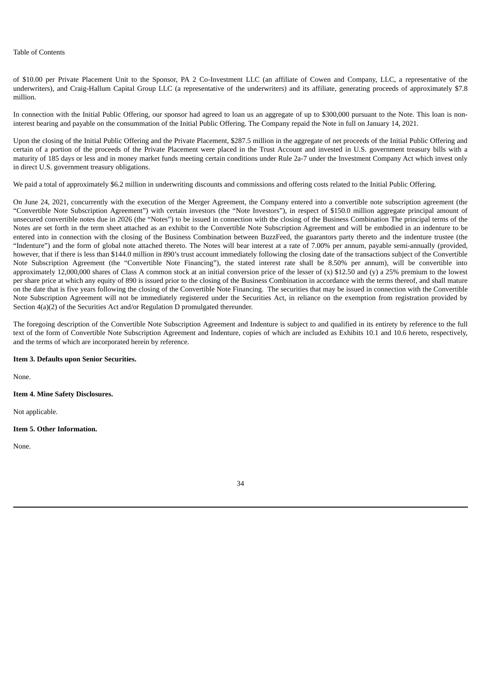of \$10.00 per Private Placement Unit to the Sponsor, PA 2 Co-Investment LLC (an affiliate of Cowen and Company, LLC, a representative of the underwriters), and Craig-Hallum Capital Group LLC (a representative of the underwriters) and its affiliate, generating proceeds of approximately \$7.8 million.

In connection with the Initial Public Offering, our sponsor had agreed to loan us an aggregate of up to \$300,000 pursuant to the Note. This loan is noninterest bearing and payable on the consummation of the Initial Public Offering. The Company repaid the Note in full on January 14, 2021.

Upon the closing of the Initial Public Offering and the Private Placement, \$287.5 million in the aggregate of net proceeds of the Initial Public Offering and certain of a portion of the proceeds of the Private Placement were placed in the Trust Account and invested in U.S. government treasury bills with a maturity of 185 days or less and in money market funds meeting certain conditions under Rule 2a-7 under the Investment Company Act which invest only in direct U.S. government treasury obligations.

We paid a total of approximately \$6.2 million in underwriting discounts and commissions and offering costs related to the Initial Public Offering.

On June 24, 2021, concurrently with the execution of the Merger Agreement, the Company entered into a convertible note subscription agreement (the "Convertible Note Subscription Agreement") with certain investors (the "Note Investors"), in respect of \$150.0 million aggregate principal amount of unsecured convertible notes due in 2026 (the "Notes") to be issued in connection with the closing of the Business Combination The principal terms of the Notes are set forth in the term sheet attached as an exhibit to the Convertible Note Subscription Agreement and will be embodied in an indenture to be entered into in connection with the closing of the Business Combination between BuzzFeed, the guarantors party thereto and the indenture trustee (the "Indenture") and the form of global note attached thereto. The Notes will bear interest at a rate of 7.00% per annum, payable semi-annually (provided, however, that if there is less than \$144.0 million in 890's trust account immediately following the closing date of the transactions subject of the Convertible Note Subscription Agreement (the "Convertible Note Financing"), the stated interest rate shall be 8.50% per annum), will be convertible into approximately 12,000,000 shares of Class A common stock at an initial conversion price of the lesser of  $(x)$  \$12.50 and  $(y)$  a 25% premium to the lowest per share price at which any equity of 890 is issued prior to the closing of the Business Combination in accordance with the terms thereof, and shall mature on the date that is five years following the closing of the Convertible Note Financing. The securities that may be issued in connection with the Convertible Note Subscription Agreement will not be immediately registered under the Securities Act, in reliance on the exemption from registration provided by Section 4(a)(2) of the Securities Act and/or Regulation D promulgated thereunder.

The foregoing description of the Convertible Note Subscription Agreement and Indenture is subject to and qualified in its entirety by reference to the full text of the form of Convertible Note Subscription Agreement and Indenture, copies of which are included as Exhibits 10.1 and 10.6 hereto, respectively, and the terms of which are incorporated herein by reference.

# **Item 3. Defaults upon Senior Securities.**

None.

## **Item 4. Mine Safety Disclosures.**

Not applicable.

#### **Item 5. Other Information.**

None.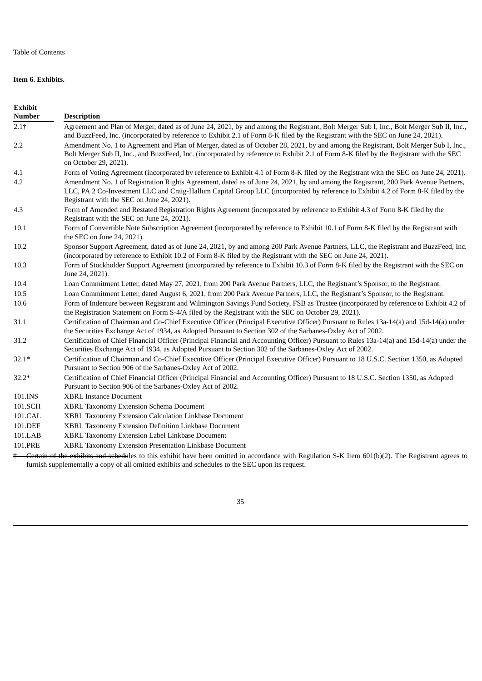# **Item 6. Exhibits.**

| <b>Exhibit</b><br><b>Number</b> | <b>Description</b>                                                                                                                                                                                                                                                                                                     |
|---------------------------------|------------------------------------------------------------------------------------------------------------------------------------------------------------------------------------------------------------------------------------------------------------------------------------------------------------------------|
| $2.1+$                          | Agreement and Plan of Merger, dated as of June 24, 2021, by and among the Registrant, Bolt Merger Sub I, Inc., Bolt Merger Sub II, Inc.,<br>and BuzzFeed, Inc. (incorporated by reference to Exhibit 2.1 of Form 8-K filed by the Registrant with the SEC on June 24, 2021).                                           |
| 2.2                             | Amendment No. 1 to Agreement and Plan of Merger, dated as of October 28, 2021, by and among the Registrant, Bolt Merger Sub I, Inc.,<br>Bolt Merger Sub II, Inc., and BuzzFeed, Inc. (incorporated by reference to Exhibit 2.1 of Form 8-K filed by the Registrant with the SEC<br>on October 29, 2021).               |
| 4.1                             | Form of Voting Agreement (incorporated by reference to Exhibit 4.1 of Form 8-K filed by the Registrant with the SEC on June 24, 2021).                                                                                                                                                                                 |
| 4.2                             | Amendment No. 1 of Registration Rights Agreement, dated as of June 24, 2021, by and among the Registrant, 200 Park Avenue Partners,<br>LLC, PA 2 Co-Investment LLC and Craig-Hallum Capital Group LLC (incorporated by reference to Exhibit 4.2 of Form 8-K filed by the<br>Registrant with the SEC on June 24, 2021). |
| 4.3                             | Form of Amended and Restated Registration Rights Agreement (incorporated by reference to Exhibit 4.3 of Form 8-K filed by the<br>Registrant with the SEC on June 24, 2021).                                                                                                                                            |
| 10.1                            | Form of Convertible Note Subscription Agreement (incorporated by reference to Exhibit 10.1 of Form 8-K filed by the Registrant with<br>the SEC on June 24, 2021).                                                                                                                                                      |
| 10.2                            | Sponsor Support Agreement, dated as of June 24, 2021, by and among 200 Park Avenue Partners, LLC, the Registrant and BuzzFeed, Inc.<br>(incorporated by reference to Exhibit 10.2 of Form 8-K filed by the Registrant with the SEC on June 24, 2021).                                                                  |
| 10.3                            | Form of Stockholder Support Agreement (incorporated by reference to Exhibit 10.3 of Form 8-K filed by the Registrant with the SEC on<br>June 24, 2021).                                                                                                                                                                |
| 10.4                            | Loan Commitment Letter, dated May 27, 2021, from 200 Park Avenue Partners, LLC, the Registrant's Sponsor, to the Registrant.                                                                                                                                                                                           |
| 10.5                            | Loan Commitment Letter, dated August 6, 2021, from 200 Park Avenue Partners, LLC, the Registrant's Sponsor, to the Registrant.                                                                                                                                                                                         |
| 10.6                            | Form of Indenture between Registrant and Wilmington Savings Fund Society, FSB as Trustee (incorporated by reference to Exhibit 4.2 of<br>the Registration Statement on Form S-4/A filed by the Registrant with the SEC on October 29, 2021).                                                                           |
| 31.1                            | Certification of Chairman and Co-Chief Executive Officer (Principal Executive Officer) Pursuant to Rules 13a-14(a) and 15d-14(a) under<br>the Securities Exchange Act of 1934, as Adopted Pursuant to Section 302 of the Sarbanes-Oxley Act of 2002.                                                                   |
| 31.2                            | Certification of Chief Financial Officer (Principal Financial and Accounting Officer) Pursuant to Rules 13a-14(a) and 15d-14(a) under the<br>Securities Exchange Act of 1934, as Adopted Pursuant to Section 302 of the Sarbanes-Oxley Act of 2002.                                                                    |
| $32.1*$                         | Certification of Chairman and Co-Chief Executive Officer (Principal Executive Officer) Pursuant to 18 U.S.C. Section 1350, as Adopted<br>Pursuant to Section 906 of the Sarbanes-Oxley Act of 2002.                                                                                                                    |
| $32.2*$                         | Certification of Chief Financial Officer (Principal Financial and Accounting Officer) Pursuant to 18 U.S.C. Section 1350, as Adopted<br>Pursuant to Section 906 of the Sarbanes-Oxley Act of 2002.                                                                                                                     |
| 101.INS                         | <b>XBRL Instance Document</b>                                                                                                                                                                                                                                                                                          |
| 101.SCH                         | XBRL Taxonomy Extension Schema Document                                                                                                                                                                                                                                                                                |
| 101.CAL                         | XBRL Taxonomy Extension Calculation Linkbase Document                                                                                                                                                                                                                                                                  |
| 101.DEF                         | XBRL Taxonomy Extension Definition Linkbase Document                                                                                                                                                                                                                                                                   |
| 101.LAB                         | XBRL Taxonomy Extension Label Linkbase Document                                                                                                                                                                                                                                                                        |
| 101.PRE                         | XBRL Taxonomy Extension Presentation Linkbase Document                                                                                                                                                                                                                                                                 |
|                                 | Cortain of the exhibite and cebedules to this exhibit have been omitted in accordance with Requilation S-K Item 601(b)(2) The Registrant agrees to                                                                                                                                                                     |

† Certain of the exhibits and schedules to this exhibit have been omitted in accordance with Regulation S-K Item 601(b)(2). The Registrant agrees to furnish supplementally a copy of all omitted exhibits and schedules to the SEC upon its request.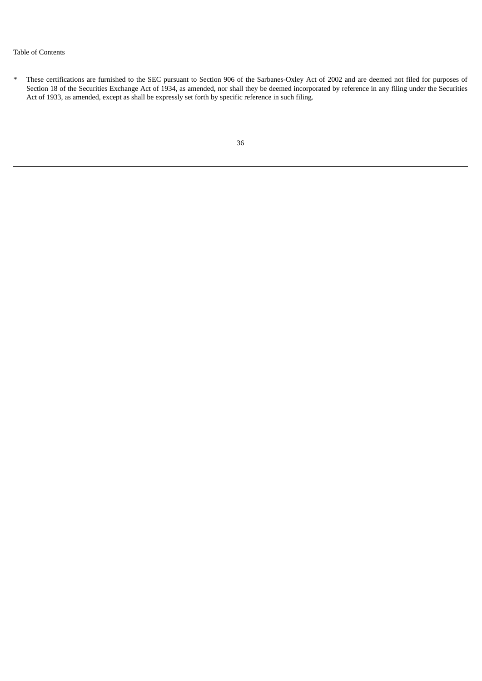*\** These certifications are furnished to the SEC pursuant to Section 906 of the Sarbanes-Oxley Act of 2002 and are deemed not filed for purposes of Section 18 of the Securities Exchange Act of 1934, as amended, nor shall they be deemed incorporated by reference in any filing under the Securities Act of 1933, as amended, except as shall be expressly set forth by specific reference in such filing.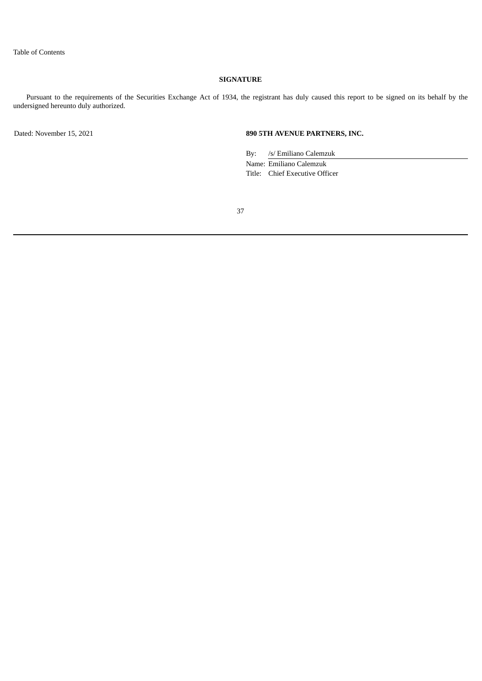# **SIGNATURE**

Pursuant to the requirements of the Securities Exchange Act of 1934, the registrant has duly caused this report to be signed on its behalf by the undersigned hereunto duly authorized.

# Dated: November 15, 2021 **890 5TH AVENUE PARTNERS, INC.**

By: /s/ Emiliano Calemzuk Name: Emiliano Calemzuk Title: Chief Executive Officer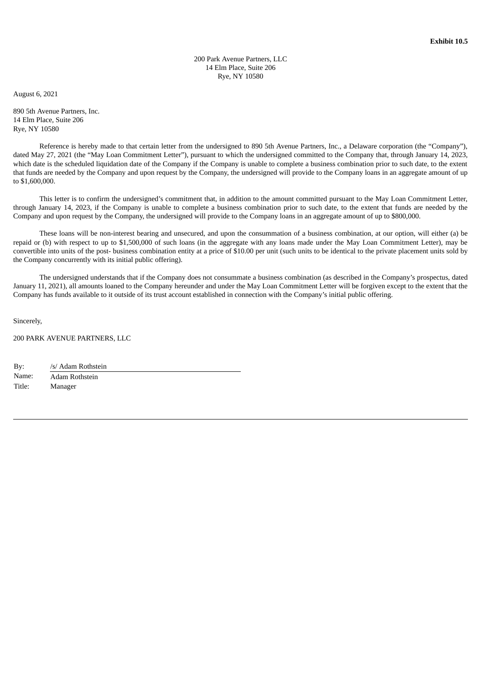200 Park Avenue Partners, LLC 14 Elm Place, Suite 206 Rye, NY 10580

August 6, 2021

890 5th Avenue Partners, Inc. 14 Elm Place, Suite 206 Rye, NY 10580

Reference is hereby made to that certain letter from the undersigned to 890 5th Avenue Partners, Inc., a Delaware corporation (the "Company"), dated May 27, 2021 (the "May Loan Commitment Letter"), pursuant to which the undersigned committed to the Company that, through January 14, 2023, which date is the scheduled liquidation date of the Company if the Company is unable to complete a business combination prior to such date, to the extent that funds are needed by the Company and upon request by the Company, the undersigned will provide to the Company loans in an aggregate amount of up to \$1,600,000.

This letter is to confirm the undersigned's commitment that, in addition to the amount committed pursuant to the May Loan Commitment Letter, through January 14, 2023, if the Company is unable to complete a business combination prior to such date, to the extent that funds are needed by the Company and upon request by the Company, the undersigned will provide to the Company loans in an aggregate amount of up to \$800,000.

These loans will be non-interest bearing and unsecured, and upon the consummation of a business combination, at our option, will either (a) be repaid or (b) with respect to up to \$1,500,000 of such loans (in the aggregate with any loans made under the May Loan Commitment Letter), may be convertible into units of the post- business combination entity at a price of \$10.00 per unit (such units to be identical to the private placement units sold by the Company concurrently with its initial public offering).

The undersigned understands that if the Company does not consummate a business combination (as described in the Company's prospectus, dated January 11, 2021), all amounts loaned to the Company hereunder and under the May Loan Commitment Letter will be forgiven except to the extent that the Company has funds available to it outside of its trust account established in connection with the Company's initial public offering.

Sincerely,

200 PARK AVENUE PARTNERS, LLC

| By:    | /s/ Adam Rothstein |
|--------|--------------------|
| Name:  | Adam Rothstein     |
| Title: | Manager            |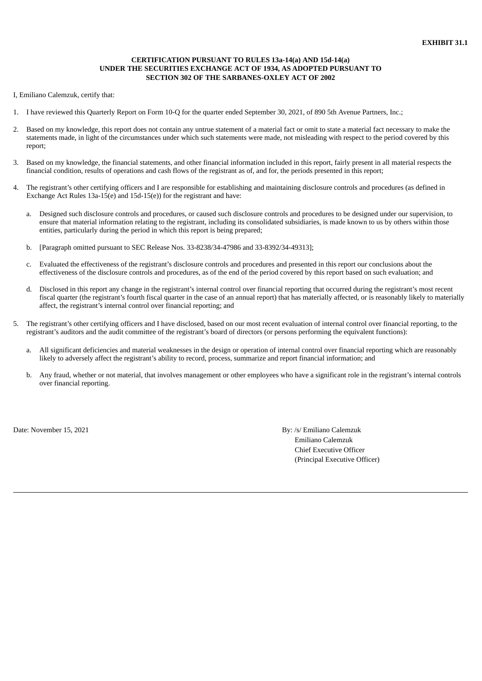# **CERTIFICATION PURSUANT TO RULES 13a-14(a) AND 15d-14(a) UNDER THE SECURITIES EXCHANGE ACT OF 1934, AS ADOPTED PURSUANT TO SECTION 302 OF THE SARBANES-OXLEY ACT OF 2002**

I, Emiliano Calemzuk, certify that:

- 1. I have reviewed this Quarterly Report on Form 10-Q for the quarter ended September 30, 2021, of 890 5th Avenue Partners, Inc.;
- 2. Based on my knowledge, this report does not contain any untrue statement of a material fact or omit to state a material fact necessary to make the statements made, in light of the circumstances under which such statements were made, not misleading with respect to the period covered by this report;
- 3. Based on my knowledge, the financial statements, and other financial information included in this report, fairly present in all material respects the financial condition, results of operations and cash flows of the registrant as of, and for, the periods presented in this report;
- 4. The registrant's other certifying officers and I are responsible for establishing and maintaining disclosure controls and procedures (as defined in Exchange Act Rules 13a-15(e) and 15d-15(e)) for the registrant and have:
	- a. Designed such disclosure controls and procedures, or caused such disclosure controls and procedures to be designed under our supervision, to ensure that material information relating to the registrant, including its consolidated subsidiaries, is made known to us by others within those entities, particularly during the period in which this report is being prepared;
	- b. [Paragraph omitted pursuant to SEC Release Nos. 33-8238/34-47986 and 33-8392/34-49313];
	- c. Evaluated the effectiveness of the registrant's disclosure controls and procedures and presented in this report our conclusions about the effectiveness of the disclosure controls and procedures, as of the end of the period covered by this report based on such evaluation; and
	- d. Disclosed in this report any change in the registrant's internal control over financial reporting that occurred during the registrant's most recent fiscal quarter (the registrant's fourth fiscal quarter in the case of an annual report) that has materially affected, or is reasonably likely to materially affect, the registrant's internal control over financial reporting; and
- 5. The registrant's other certifying officers and I have disclosed, based on our most recent evaluation of internal control over financial reporting, to the registrant's auditors and the audit committee of the registrant's board of directors (or persons performing the equivalent functions):
	- a. All significant deficiencies and material weaknesses in the design or operation of internal control over financial reporting which are reasonably likely to adversely affect the registrant's ability to record, process, summarize and report financial information; and
	- b. Any fraud, whether or not material, that involves management or other employees who have a significant role in the registrant's internal controls over financial reporting.

Date: November 15, 2021 By: /s/ Emiliano Calemzuk

Emiliano Calemzuk Chief Executive Officer (Principal Executive Officer)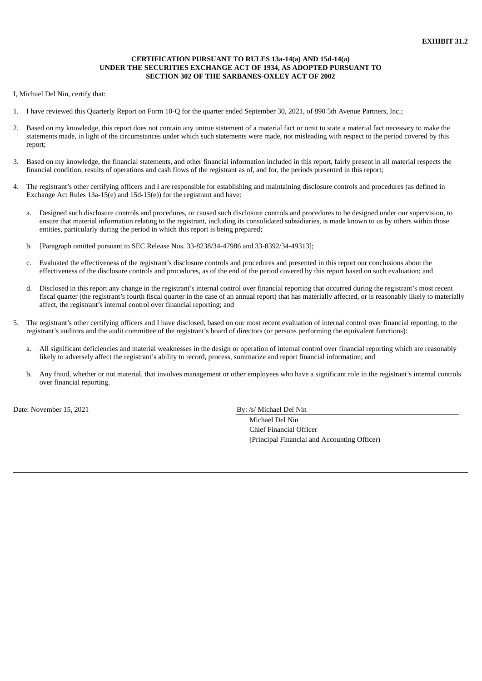## **CERTIFICATION PURSUANT TO RULES 13a-14(a) AND 15d-14(a) UNDER THE SECURITIES EXCHANGE ACT OF 1934, AS ADOPTED PURSUANT TO SECTION 302 OF THE SARBANES-OXLEY ACT OF 2002**

I, Michael Del Nin, certify that:

- 1. I have reviewed this Quarterly Report on Form 10-Q for the quarter ended September 30, 2021, of 890 5th Avenue Partners, Inc.;
- 2. Based on my knowledge, this report does not contain any untrue statement of a material fact or omit to state a material fact necessary to make the statements made, in light of the circumstances under which such statements were made, not misleading with respect to the period covered by this report;
- 3. Based on my knowledge, the financial statements, and other financial information included in this report, fairly present in all material respects the financial condition, results of operations and cash flows of the registrant as of, and for, the periods presented in this report;
- 4. The registrant's other certifying officers and I are responsible for establishing and maintaining disclosure controls and procedures (as defined in Exchange Act Rules 13a-15(e) and 15d-15(e)) for the registrant and have:
	- a. Designed such disclosure controls and procedures, or caused such disclosure controls and procedures to be designed under our supervision, to ensure that material information relating to the registrant, including its consolidated subsidiaries, is made known to us by others within those entities, particularly during the period in which this report is being prepared;
	- b. [Paragraph omitted pursuant to SEC Release Nos. 33-8238/34-47986 and 33-8392/34-49313];
	- c. Evaluated the effectiveness of the registrant's disclosure controls and procedures and presented in this report our conclusions about the effectiveness of the disclosure controls and procedures, as of the end of the period covered by this report based on such evaluation; and
	- d. Disclosed in this report any change in the registrant's internal control over financial reporting that occurred during the registrant's most recent fiscal quarter (the registrant's fourth fiscal quarter in the case of an annual report) that has materially affected, or is reasonably likely to materially affect, the registrant's internal control over financial reporting; and
- 5. The registrant's other certifying officers and I have disclosed, based on our most recent evaluation of internal control over financial reporting, to the registrant's auditors and the audit committee of the registrant's board of directors (or persons performing the equivalent functions):
	- a. All significant deficiencies and material weaknesses in the design or operation of internal control over financial reporting which are reasonably likely to adversely affect the registrant's ability to record, process, summarize and report financial information; and
	- b. Any fraud, whether or not material, that involves management or other employees who have a significant role in the registrant's internal controls over financial reporting.

Date: November 15, 2021 **By:** /s/ Michael Del Nin

Michael Del Nin Chief Financial Officer (Principal Financial and Accounting Officer)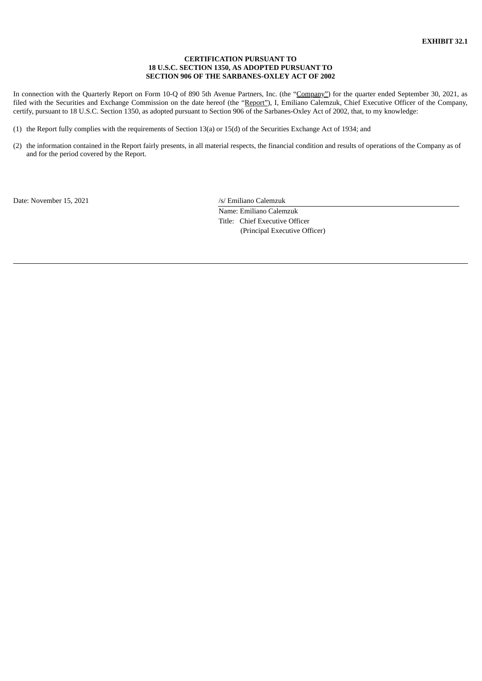## **CERTIFICATION PURSUANT TO 18 U.S.C. SECTION 1350, AS ADOPTED PURSUANT TO SECTION 906 OF THE SARBANES-OXLEY ACT OF 2002**

In connection with the Quarterly Report on Form 10-Q of 890 5th Avenue Partners, Inc. (the "Company") for the quarter ended September 30, 2021, as filed with the Securities and Exchange Commission on the date hereof (the "Report"), I, Emiliano Calemzuk, Chief Executive Officer of the Company, certify, pursuant to 18 U.S.C. Section 1350, as adopted pursuant to Section 906 of the Sarbanes-Oxley Act of 2002, that, to my knowledge:

- (1) the Report fully complies with the requirements of Section 13(a) or 15(d) of the Securities Exchange Act of 1934; and
- (2) the information contained in the Report fairly presents, in all material respects, the financial condition and results of operations of the Company as of and for the period covered by the Report.

Date: November 15, 2021 /s/ Emiliano Calemzuk

Name: Emiliano Calemzuk Title: Chief Executive Officer (Principal Executive Officer)